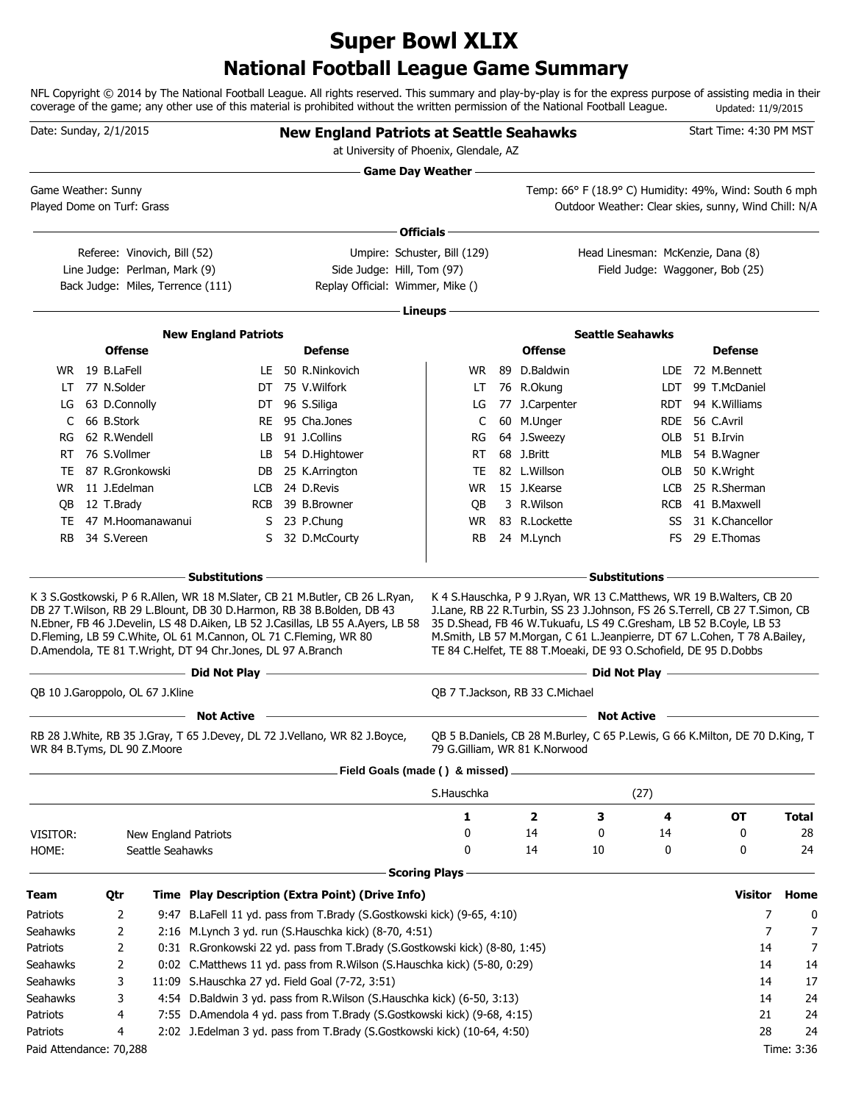# **National Football League Game Summary Super Bowl XLIX**

NFL Copyright © 2014 by The National Football League. All rights reserved. This summary and play-by-play is for the express purpose of assisting media in their coverage of the game; any other use of this material is prohibited without the written permission of the National Football League. Updated: 11/9/2015

| <b>Game Day Weather --</b><br>Temp: 66° F (18.9° C) Humidity: 49%, Wind: South 6 mph<br>Game Weather: Sunny<br>Played Dome on Turf: Grass<br>Outdoor Weather: Clear skies, sunny, Wind Chill: N/A<br>Officials -<br>Referee: Vinovich, Bill (52)<br>Umpire: Schuster, Bill (129)<br>Head Linesman: McKenzie, Dana (8)<br>Side Judge: Hill, Tom (97)<br>Line Judge: Perlman, Mark (9)<br>Field Judge: Waggoner, Bob (25)<br>Back Judge: Miles, Terrence (111)<br>Replay Official: Wimmer, Mike ()<br>∙ Lineups −<br><b>New England Patriots</b><br><b>Seattle Seahawks</b><br><b>Offense</b><br><b>Defense</b><br><b>Offense</b><br><b>Defense</b><br>WR 19 B.LaFell<br>LE 50 R.Ninkovich<br>89 D.Baldwin<br>LDE 72 M.Bennett<br>WR.<br>77 N.Solder<br>DT 75 V.Wilfork<br>76 R.Okung<br>99 T.McDaniel<br>LDT<br>LT<br>LT<br>63 D.Connolly<br>DT 96 S.Siliga<br>77 J.Carpenter<br>94 K.Williams<br>LG<br><b>RDT</b><br>LG<br>66 B.Stork<br>95 Cha.Jones<br>60 M.Unger<br>RDE 56 C.Avril<br>C<br>RE<br>C<br>62 R.Wendell<br>91 J.Collins<br>64 J.Sweezy<br>51 B.Irvin<br>LB<br>RG<br>OLB<br>RG<br>76 S.Vollmer<br>54 D.Hightower<br>68 J.Britt<br>RT<br>LB<br>RT<br>MLB 54 B.Wagner<br>87 R.Gronkowski<br>82 L.Willson<br>OLB 50 K.Wright<br>DB 25 K.Arrington<br>TE<br>TE<br>WR 11 J.Edelman<br>24 D.Revis<br>15 J.Kearse<br>25 R.Sherman<br>LCB<br><b>WR</b><br>LCB<br>39 B.Browner<br>3 R.Wilson<br>41 B.Maxwell<br>12 T.Brady<br><b>RCB</b><br>QB<br>RCB<br>QB<br>S 23 P.Chung<br>83 R.Lockette<br>31 K.Chancellor<br>TE<br>47 M.Hoomanawanui<br>WR.<br>SS<br><b>RB</b><br>34 S.Vereen<br>32 D.McCourty<br>24 M.Lynch<br>29 E.Thomas<br>S<br>RB<br>FS.<br>- Substitutions<br><b>Substitutions</b><br>K 3 S.Gostkowski, P 6 R.Allen, WR 18 M.Slater, CB 21 M.Butler, CB 26 L.Ryan,<br>K 4 S. Hauschka, P 9 J. Ryan, WR 13 C. Matthews, WR 19 B. Walters, CB 20<br>DB 27 T. Wilson, RB 29 L. Blount, DB 30 D. Harmon, RB 38 B. Bolden, DB 43<br>J.Lane, RB 22 R.Turbin, SS 23 J.Johnson, FS 26 S.Terrell, CB 27 T.Simon, CB<br>N.Ebner, FB 46 J.Develin, LS 48 D.Aiken, LB 52 J.Casillas, LB 55 A.Ayers, LB 58<br>35 D.Shead, FB 46 W.Tukuafu, LS 49 C.Gresham, LB 52 B.Coyle, LB 53<br>D.Fleming, LB 59 C.White, OL 61 M.Cannon, OL 71 C.Fleming, WR 80<br>M.Smith, LB 57 M.Morgan, C 61 L.Jeanpierre, DT 67 L.Cohen, T 78 A.Bailey,<br>D.Amendola, TE 81 T.Wright, DT 94 Chr.Jones, DL 97 A.Branch<br>TE 84 C.Helfet, TE 88 T.Moeaki, DE 93 O.Schofield, DE 95 D.Dobbs<br>- Did Not Play <u>- Alexander Constant of Bilder Constant of Bilder</u><br>QB 10 J.Garoppolo, OL 67 J.Kline<br>OB 7 T.Jackson, RB 33 C.Michael<br><b>Not Active</b><br><b>Not Active</b><br>RB 28 J. White, RB 35 J. Gray, T 65 J. Devey, DL 72 J. Vellano, WR 82 J. Boyce,<br>QB 5 B.Daniels, CB 28 M.Burley, C 65 P.Lewis, G 66 K.Milton, DE 70 D.King, T<br>WR 84 B.Tyms, DL 90 Z.Moore<br>79 G.Gilliam, WR 81 K.Norwood<br>Field Goals (made () & missed) .<br>(27)<br>S.Hauschka<br>$\overline{\mathbf{2}}$<br>1<br>3<br>4<br>OT<br>14<br>0<br>0<br>0<br>VISITOR:<br>14<br>New England Patriots<br>0<br>0<br>14<br>10<br>0<br>HOME:<br>Seattle Seahawks<br><b>Scoring Plays</b><br><b>Visitor</b><br>Time Play Description (Extra Point) (Drive Info)<br>Qtr<br>9:47 B.LaFell 11 yd. pass from T.Brady (S.Gostkowski kick) (9-65, 4:10)<br>7 | Date: Sunday, 2/1/2015 |   |  | <b>New England Patriots at Seattle Seahawks</b><br>at University of Phoenix, Glendale, AZ |  |  |  | Start Time: 4:30 PM MST |              |
|------------------------------------------------------------------------------------------------------------------------------------------------------------------------------------------------------------------------------------------------------------------------------------------------------------------------------------------------------------------------------------------------------------------------------------------------------------------------------------------------------------------------------------------------------------------------------------------------------------------------------------------------------------------------------------------------------------------------------------------------------------------------------------------------------------------------------------------------------------------------------------------------------------------------------------------------------------------------------------------------------------------------------------------------------------------------------------------------------------------------------------------------------------------------------------------------------------------------------------------------------------------------------------------------------------------------------------------------------------------------------------------------------------------------------------------------------------------------------------------------------------------------------------------------------------------------------------------------------------------------------------------------------------------------------------------------------------------------------------------------------------------------------------------------------------------------------------------------------------------------------------------------------------------------------------------------------------------------------------------------------------------------------------------------------------------------------------------------------------------------------------------------------------------------------------------------------------------------------------------------------------------------------------------------------------------------------------------------------------------------------------------------------------------------------------------------------------------------------------------------------------------------------------------------------------------------------------------------------------------------------------------------------------------------------------------------------------------------------------------------------------------------------------------------------------------------------------------------------------------------------------------------------------------------------------------------------------------------------------------------------------------------------------------------------------------------------------------------------------------------------------------------------------------------------------------------------------------------------------------------------------------------------------------------------------------------------|------------------------|---|--|-------------------------------------------------------------------------------------------|--|--|--|-------------------------|--------------|
|                                                                                                                                                                                                                                                                                                                                                                                                                                                                                                                                                                                                                                                                                                                                                                                                                                                                                                                                                                                                                                                                                                                                                                                                                                                                                                                                                                                                                                                                                                                                                                                                                                                                                                                                                                                                                                                                                                                                                                                                                                                                                                                                                                                                                                                                                                                                                                                                                                                                                                                                                                                                                                                                                                                                                                                                                                                                                                                                                                                                                                                                                                                                                                                                                                                                                                                              |                        |   |  |                                                                                           |  |  |  |                         |              |
| Team<br>Patriots                                                                                                                                                                                                                                                                                                                                                                                                                                                                                                                                                                                                                                                                                                                                                                                                                                                                                                                                                                                                                                                                                                                                                                                                                                                                                                                                                                                                                                                                                                                                                                                                                                                                                                                                                                                                                                                                                                                                                                                                                                                                                                                                                                                                                                                                                                                                                                                                                                                                                                                                                                                                                                                                                                                                                                                                                                                                                                                                                                                                                                                                                                                                                                                                                                                                                                             |                        |   |  |                                                                                           |  |  |  |                         |              |
|                                                                                                                                                                                                                                                                                                                                                                                                                                                                                                                                                                                                                                                                                                                                                                                                                                                                                                                                                                                                                                                                                                                                                                                                                                                                                                                                                                                                                                                                                                                                                                                                                                                                                                                                                                                                                                                                                                                                                                                                                                                                                                                                                                                                                                                                                                                                                                                                                                                                                                                                                                                                                                                                                                                                                                                                                                                                                                                                                                                                                                                                                                                                                                                                                                                                                                                              |                        |   |  |                                                                                           |  |  |  |                         |              |
|                                                                                                                                                                                                                                                                                                                                                                                                                                                                                                                                                                                                                                                                                                                                                                                                                                                                                                                                                                                                                                                                                                                                                                                                                                                                                                                                                                                                                                                                                                                                                                                                                                                                                                                                                                                                                                                                                                                                                                                                                                                                                                                                                                                                                                                                                                                                                                                                                                                                                                                                                                                                                                                                                                                                                                                                                                                                                                                                                                                                                                                                                                                                                                                                                                                                                                                              |                        |   |  |                                                                                           |  |  |  |                         |              |
|                                                                                                                                                                                                                                                                                                                                                                                                                                                                                                                                                                                                                                                                                                                                                                                                                                                                                                                                                                                                                                                                                                                                                                                                                                                                                                                                                                                                                                                                                                                                                                                                                                                                                                                                                                                                                                                                                                                                                                                                                                                                                                                                                                                                                                                                                                                                                                                                                                                                                                                                                                                                                                                                                                                                                                                                                                                                                                                                                                                                                                                                                                                                                                                                                                                                                                                              |                        |   |  |                                                                                           |  |  |  |                         |              |
|                                                                                                                                                                                                                                                                                                                                                                                                                                                                                                                                                                                                                                                                                                                                                                                                                                                                                                                                                                                                                                                                                                                                                                                                                                                                                                                                                                                                                                                                                                                                                                                                                                                                                                                                                                                                                                                                                                                                                                                                                                                                                                                                                                                                                                                                                                                                                                                                                                                                                                                                                                                                                                                                                                                                                                                                                                                                                                                                                                                                                                                                                                                                                                                                                                                                                                                              |                        |   |  |                                                                                           |  |  |  |                         |              |
|                                                                                                                                                                                                                                                                                                                                                                                                                                                                                                                                                                                                                                                                                                                                                                                                                                                                                                                                                                                                                                                                                                                                                                                                                                                                                                                                                                                                                                                                                                                                                                                                                                                                                                                                                                                                                                                                                                                                                                                                                                                                                                                                                                                                                                                                                                                                                                                                                                                                                                                                                                                                                                                                                                                                                                                                                                                                                                                                                                                                                                                                                                                                                                                                                                                                                                                              |                        |   |  |                                                                                           |  |  |  |                         |              |
|                                                                                                                                                                                                                                                                                                                                                                                                                                                                                                                                                                                                                                                                                                                                                                                                                                                                                                                                                                                                                                                                                                                                                                                                                                                                                                                                                                                                                                                                                                                                                                                                                                                                                                                                                                                                                                                                                                                                                                                                                                                                                                                                                                                                                                                                                                                                                                                                                                                                                                                                                                                                                                                                                                                                                                                                                                                                                                                                                                                                                                                                                                                                                                                                                                                                                                                              |                        |   |  |                                                                                           |  |  |  |                         |              |
|                                                                                                                                                                                                                                                                                                                                                                                                                                                                                                                                                                                                                                                                                                                                                                                                                                                                                                                                                                                                                                                                                                                                                                                                                                                                                                                                                                                                                                                                                                                                                                                                                                                                                                                                                                                                                                                                                                                                                                                                                                                                                                                                                                                                                                                                                                                                                                                                                                                                                                                                                                                                                                                                                                                                                                                                                                                                                                                                                                                                                                                                                                                                                                                                                                                                                                                              |                        |   |  |                                                                                           |  |  |  |                         |              |
|                                                                                                                                                                                                                                                                                                                                                                                                                                                                                                                                                                                                                                                                                                                                                                                                                                                                                                                                                                                                                                                                                                                                                                                                                                                                                                                                                                                                                                                                                                                                                                                                                                                                                                                                                                                                                                                                                                                                                                                                                                                                                                                                                                                                                                                                                                                                                                                                                                                                                                                                                                                                                                                                                                                                                                                                                                                                                                                                                                                                                                                                                                                                                                                                                                                                                                                              |                        |   |  |                                                                                           |  |  |  |                         |              |
|                                                                                                                                                                                                                                                                                                                                                                                                                                                                                                                                                                                                                                                                                                                                                                                                                                                                                                                                                                                                                                                                                                                                                                                                                                                                                                                                                                                                                                                                                                                                                                                                                                                                                                                                                                                                                                                                                                                                                                                                                                                                                                                                                                                                                                                                                                                                                                                                                                                                                                                                                                                                                                                                                                                                                                                                                                                                                                                                                                                                                                                                                                                                                                                                                                                                                                                              |                        |   |  |                                                                                           |  |  |  |                         |              |
|                                                                                                                                                                                                                                                                                                                                                                                                                                                                                                                                                                                                                                                                                                                                                                                                                                                                                                                                                                                                                                                                                                                                                                                                                                                                                                                                                                                                                                                                                                                                                                                                                                                                                                                                                                                                                                                                                                                                                                                                                                                                                                                                                                                                                                                                                                                                                                                                                                                                                                                                                                                                                                                                                                                                                                                                                                                                                                                                                                                                                                                                                                                                                                                                                                                                                                                              |                        |   |  |                                                                                           |  |  |  |                         |              |
|                                                                                                                                                                                                                                                                                                                                                                                                                                                                                                                                                                                                                                                                                                                                                                                                                                                                                                                                                                                                                                                                                                                                                                                                                                                                                                                                                                                                                                                                                                                                                                                                                                                                                                                                                                                                                                                                                                                                                                                                                                                                                                                                                                                                                                                                                                                                                                                                                                                                                                                                                                                                                                                                                                                                                                                                                                                                                                                                                                                                                                                                                                                                                                                                                                                                                                                              |                        |   |  |                                                                                           |  |  |  |                         |              |
|                                                                                                                                                                                                                                                                                                                                                                                                                                                                                                                                                                                                                                                                                                                                                                                                                                                                                                                                                                                                                                                                                                                                                                                                                                                                                                                                                                                                                                                                                                                                                                                                                                                                                                                                                                                                                                                                                                                                                                                                                                                                                                                                                                                                                                                                                                                                                                                                                                                                                                                                                                                                                                                                                                                                                                                                                                                                                                                                                                                                                                                                                                                                                                                                                                                                                                                              |                        |   |  |                                                                                           |  |  |  |                         |              |
|                                                                                                                                                                                                                                                                                                                                                                                                                                                                                                                                                                                                                                                                                                                                                                                                                                                                                                                                                                                                                                                                                                                                                                                                                                                                                                                                                                                                                                                                                                                                                                                                                                                                                                                                                                                                                                                                                                                                                                                                                                                                                                                                                                                                                                                                                                                                                                                                                                                                                                                                                                                                                                                                                                                                                                                                                                                                                                                                                                                                                                                                                                                                                                                                                                                                                                                              |                        |   |  |                                                                                           |  |  |  |                         |              |
|                                                                                                                                                                                                                                                                                                                                                                                                                                                                                                                                                                                                                                                                                                                                                                                                                                                                                                                                                                                                                                                                                                                                                                                                                                                                                                                                                                                                                                                                                                                                                                                                                                                                                                                                                                                                                                                                                                                                                                                                                                                                                                                                                                                                                                                                                                                                                                                                                                                                                                                                                                                                                                                                                                                                                                                                                                                                                                                                                                                                                                                                                                                                                                                                                                                                                                                              |                        |   |  |                                                                                           |  |  |  |                         |              |
|                                                                                                                                                                                                                                                                                                                                                                                                                                                                                                                                                                                                                                                                                                                                                                                                                                                                                                                                                                                                                                                                                                                                                                                                                                                                                                                                                                                                                                                                                                                                                                                                                                                                                                                                                                                                                                                                                                                                                                                                                                                                                                                                                                                                                                                                                                                                                                                                                                                                                                                                                                                                                                                                                                                                                                                                                                                                                                                                                                                                                                                                                                                                                                                                                                                                                                                              |                        |   |  |                                                                                           |  |  |  |                         |              |
|                                                                                                                                                                                                                                                                                                                                                                                                                                                                                                                                                                                                                                                                                                                                                                                                                                                                                                                                                                                                                                                                                                                                                                                                                                                                                                                                                                                                                                                                                                                                                                                                                                                                                                                                                                                                                                                                                                                                                                                                                                                                                                                                                                                                                                                                                                                                                                                                                                                                                                                                                                                                                                                                                                                                                                                                                                                                                                                                                                                                                                                                                                                                                                                                                                                                                                                              |                        |   |  |                                                                                           |  |  |  |                         |              |
|                                                                                                                                                                                                                                                                                                                                                                                                                                                                                                                                                                                                                                                                                                                                                                                                                                                                                                                                                                                                                                                                                                                                                                                                                                                                                                                                                                                                                                                                                                                                                                                                                                                                                                                                                                                                                                                                                                                                                                                                                                                                                                                                                                                                                                                                                                                                                                                                                                                                                                                                                                                                                                                                                                                                                                                                                                                                                                                                                                                                                                                                                                                                                                                                                                                                                                                              |                        |   |  |                                                                                           |  |  |  |                         |              |
|                                                                                                                                                                                                                                                                                                                                                                                                                                                                                                                                                                                                                                                                                                                                                                                                                                                                                                                                                                                                                                                                                                                                                                                                                                                                                                                                                                                                                                                                                                                                                                                                                                                                                                                                                                                                                                                                                                                                                                                                                                                                                                                                                                                                                                                                                                                                                                                                                                                                                                                                                                                                                                                                                                                                                                                                                                                                                                                                                                                                                                                                                                                                                                                                                                                                                                                              |                        |   |  |                                                                                           |  |  |  |                         |              |
|                                                                                                                                                                                                                                                                                                                                                                                                                                                                                                                                                                                                                                                                                                                                                                                                                                                                                                                                                                                                                                                                                                                                                                                                                                                                                                                                                                                                                                                                                                                                                                                                                                                                                                                                                                                                                                                                                                                                                                                                                                                                                                                                                                                                                                                                                                                                                                                                                                                                                                                                                                                                                                                                                                                                                                                                                                                                                                                                                                                                                                                                                                                                                                                                                                                                                                                              |                        |   |  |                                                                                           |  |  |  |                         |              |
|                                                                                                                                                                                                                                                                                                                                                                                                                                                                                                                                                                                                                                                                                                                                                                                                                                                                                                                                                                                                                                                                                                                                                                                                                                                                                                                                                                                                                                                                                                                                                                                                                                                                                                                                                                                                                                                                                                                                                                                                                                                                                                                                                                                                                                                                                                                                                                                                                                                                                                                                                                                                                                                                                                                                                                                                                                                                                                                                                                                                                                                                                                                                                                                                                                                                                                                              |                        |   |  |                                                                                           |  |  |  |                         |              |
|                                                                                                                                                                                                                                                                                                                                                                                                                                                                                                                                                                                                                                                                                                                                                                                                                                                                                                                                                                                                                                                                                                                                                                                                                                                                                                                                                                                                                                                                                                                                                                                                                                                                                                                                                                                                                                                                                                                                                                                                                                                                                                                                                                                                                                                                                                                                                                                                                                                                                                                                                                                                                                                                                                                                                                                                                                                                                                                                                                                                                                                                                                                                                                                                                                                                                                                              |                        |   |  |                                                                                           |  |  |  |                         |              |
|                                                                                                                                                                                                                                                                                                                                                                                                                                                                                                                                                                                                                                                                                                                                                                                                                                                                                                                                                                                                                                                                                                                                                                                                                                                                                                                                                                                                                                                                                                                                                                                                                                                                                                                                                                                                                                                                                                                                                                                                                                                                                                                                                                                                                                                                                                                                                                                                                                                                                                                                                                                                                                                                                                                                                                                                                                                                                                                                                                                                                                                                                                                                                                                                                                                                                                                              |                        |   |  |                                                                                           |  |  |  |                         |              |
|                                                                                                                                                                                                                                                                                                                                                                                                                                                                                                                                                                                                                                                                                                                                                                                                                                                                                                                                                                                                                                                                                                                                                                                                                                                                                                                                                                                                                                                                                                                                                                                                                                                                                                                                                                                                                                                                                                                                                                                                                                                                                                                                                                                                                                                                                                                                                                                                                                                                                                                                                                                                                                                                                                                                                                                                                                                                                                                                                                                                                                                                                                                                                                                                                                                                                                                              |                        |   |  |                                                                                           |  |  |  |                         |              |
|                                                                                                                                                                                                                                                                                                                                                                                                                                                                                                                                                                                                                                                                                                                                                                                                                                                                                                                                                                                                                                                                                                                                                                                                                                                                                                                                                                                                                                                                                                                                                                                                                                                                                                                                                                                                                                                                                                                                                                                                                                                                                                                                                                                                                                                                                                                                                                                                                                                                                                                                                                                                                                                                                                                                                                                                                                                                                                                                                                                                                                                                                                                                                                                                                                                                                                                              |                        |   |  |                                                                                           |  |  |  |                         |              |
|                                                                                                                                                                                                                                                                                                                                                                                                                                                                                                                                                                                                                                                                                                                                                                                                                                                                                                                                                                                                                                                                                                                                                                                                                                                                                                                                                                                                                                                                                                                                                                                                                                                                                                                                                                                                                                                                                                                                                                                                                                                                                                                                                                                                                                                                                                                                                                                                                                                                                                                                                                                                                                                                                                                                                                                                                                                                                                                                                                                                                                                                                                                                                                                                                                                                                                                              |                        |   |  |                                                                                           |  |  |  |                         | <b>Total</b> |
|                                                                                                                                                                                                                                                                                                                                                                                                                                                                                                                                                                                                                                                                                                                                                                                                                                                                                                                                                                                                                                                                                                                                                                                                                                                                                                                                                                                                                                                                                                                                                                                                                                                                                                                                                                                                                                                                                                                                                                                                                                                                                                                                                                                                                                                                                                                                                                                                                                                                                                                                                                                                                                                                                                                                                                                                                                                                                                                                                                                                                                                                                                                                                                                                                                                                                                                              |                        |   |  |                                                                                           |  |  |  |                         | 28           |
|                                                                                                                                                                                                                                                                                                                                                                                                                                                                                                                                                                                                                                                                                                                                                                                                                                                                                                                                                                                                                                                                                                                                                                                                                                                                                                                                                                                                                                                                                                                                                                                                                                                                                                                                                                                                                                                                                                                                                                                                                                                                                                                                                                                                                                                                                                                                                                                                                                                                                                                                                                                                                                                                                                                                                                                                                                                                                                                                                                                                                                                                                                                                                                                                                                                                                                                              |                        |   |  |                                                                                           |  |  |  |                         | 24           |
|                                                                                                                                                                                                                                                                                                                                                                                                                                                                                                                                                                                                                                                                                                                                                                                                                                                                                                                                                                                                                                                                                                                                                                                                                                                                                                                                                                                                                                                                                                                                                                                                                                                                                                                                                                                                                                                                                                                                                                                                                                                                                                                                                                                                                                                                                                                                                                                                                                                                                                                                                                                                                                                                                                                                                                                                                                                                                                                                                                                                                                                                                                                                                                                                                                                                                                                              |                        |   |  |                                                                                           |  |  |  |                         |              |
|                                                                                                                                                                                                                                                                                                                                                                                                                                                                                                                                                                                                                                                                                                                                                                                                                                                                                                                                                                                                                                                                                                                                                                                                                                                                                                                                                                                                                                                                                                                                                                                                                                                                                                                                                                                                                                                                                                                                                                                                                                                                                                                                                                                                                                                                                                                                                                                                                                                                                                                                                                                                                                                                                                                                                                                                                                                                                                                                                                                                                                                                                                                                                                                                                                                                                                                              |                        |   |  |                                                                                           |  |  |  |                         | Home         |
|                                                                                                                                                                                                                                                                                                                                                                                                                                                                                                                                                                                                                                                                                                                                                                                                                                                                                                                                                                                                                                                                                                                                                                                                                                                                                                                                                                                                                                                                                                                                                                                                                                                                                                                                                                                                                                                                                                                                                                                                                                                                                                                                                                                                                                                                                                                                                                                                                                                                                                                                                                                                                                                                                                                                                                                                                                                                                                                                                                                                                                                                                                                                                                                                                                                                                                                              |                        | 2 |  |                                                                                           |  |  |  |                         | 0            |
| 2:16 M.Lynch 3 yd. run (S.Hauschka kick) (8-70, 4:51)<br>7<br>Seahawks<br>2<br>0:31 R.Gronkowski 22 yd. pass from T.Brady (S.Gostkowski kick) (8-80, 1:45)<br>Patriots<br>14                                                                                                                                                                                                                                                                                                                                                                                                                                                                                                                                                                                                                                                                                                                                                                                                                                                                                                                                                                                                                                                                                                                                                                                                                                                                                                                                                                                                                                                                                                                                                                                                                                                                                                                                                                                                                                                                                                                                                                                                                                                                                                                                                                                                                                                                                                                                                                                                                                                                                                                                                                                                                                                                                                                                                                                                                                                                                                                                                                                                                                                                                                                                                 |                        |   |  |                                                                                           |  |  |  |                         | 7<br>7       |
| 2<br>0:02 C.Matthews 11 yd. pass from R.Wilson (S.Hauschka kick) (5-80, 0:29)<br>Seahawks<br>2<br>14                                                                                                                                                                                                                                                                                                                                                                                                                                                                                                                                                                                                                                                                                                                                                                                                                                                                                                                                                                                                                                                                                                                                                                                                                                                                                                                                                                                                                                                                                                                                                                                                                                                                                                                                                                                                                                                                                                                                                                                                                                                                                                                                                                                                                                                                                                                                                                                                                                                                                                                                                                                                                                                                                                                                                                                                                                                                                                                                                                                                                                                                                                                                                                                                                         |                        |   |  |                                                                                           |  |  |  |                         | 14           |
| 11:09 S.Hauschka 27 yd. Field Goal (7-72, 3:51)<br>Seahawks<br>3<br>14                                                                                                                                                                                                                                                                                                                                                                                                                                                                                                                                                                                                                                                                                                                                                                                                                                                                                                                                                                                                                                                                                                                                                                                                                                                                                                                                                                                                                                                                                                                                                                                                                                                                                                                                                                                                                                                                                                                                                                                                                                                                                                                                                                                                                                                                                                                                                                                                                                                                                                                                                                                                                                                                                                                                                                                                                                                                                                                                                                                                                                                                                                                                                                                                                                                       |                        |   |  |                                                                                           |  |  |  |                         | 17           |
| 4:54 D.Baldwin 3 yd. pass from R.Wilson (S.Hauschka kick) (6-50, 3:13)<br>Seahawks<br>3<br>14                                                                                                                                                                                                                                                                                                                                                                                                                                                                                                                                                                                                                                                                                                                                                                                                                                                                                                                                                                                                                                                                                                                                                                                                                                                                                                                                                                                                                                                                                                                                                                                                                                                                                                                                                                                                                                                                                                                                                                                                                                                                                                                                                                                                                                                                                                                                                                                                                                                                                                                                                                                                                                                                                                                                                                                                                                                                                                                                                                                                                                                                                                                                                                                                                                |                        |   |  |                                                                                           |  |  |  |                         | 24           |
| 7:55 D.Amendola 4 yd. pass from T.Brady (S.Gostkowski kick) (9-68, 4:15)<br>21<br>Patriots<br>4                                                                                                                                                                                                                                                                                                                                                                                                                                                                                                                                                                                                                                                                                                                                                                                                                                                                                                                                                                                                                                                                                                                                                                                                                                                                                                                                                                                                                                                                                                                                                                                                                                                                                                                                                                                                                                                                                                                                                                                                                                                                                                                                                                                                                                                                                                                                                                                                                                                                                                                                                                                                                                                                                                                                                                                                                                                                                                                                                                                                                                                                                                                                                                                                                              |                        |   |  |                                                                                           |  |  |  |                         | 24           |
| 2:02 J.Edelman 3 yd. pass from T.Brady (S.Gostkowski kick) (10-64, 4:50)<br>28<br>Patriots<br>4                                                                                                                                                                                                                                                                                                                                                                                                                                                                                                                                                                                                                                                                                                                                                                                                                                                                                                                                                                                                                                                                                                                                                                                                                                                                                                                                                                                                                                                                                                                                                                                                                                                                                                                                                                                                                                                                                                                                                                                                                                                                                                                                                                                                                                                                                                                                                                                                                                                                                                                                                                                                                                                                                                                                                                                                                                                                                                                                                                                                                                                                                                                                                                                                                              |                        |   |  |                                                                                           |  |  |  |                         | 24           |
| Paid Attendance: 70,288                                                                                                                                                                                                                                                                                                                                                                                                                                                                                                                                                                                                                                                                                                                                                                                                                                                                                                                                                                                                                                                                                                                                                                                                                                                                                                                                                                                                                                                                                                                                                                                                                                                                                                                                                                                                                                                                                                                                                                                                                                                                                                                                                                                                                                                                                                                                                                                                                                                                                                                                                                                                                                                                                                                                                                                                                                                                                                                                                                                                                                                                                                                                                                                                                                                                                                      |                        |   |  |                                                                                           |  |  |  |                         | Time: 3:36   |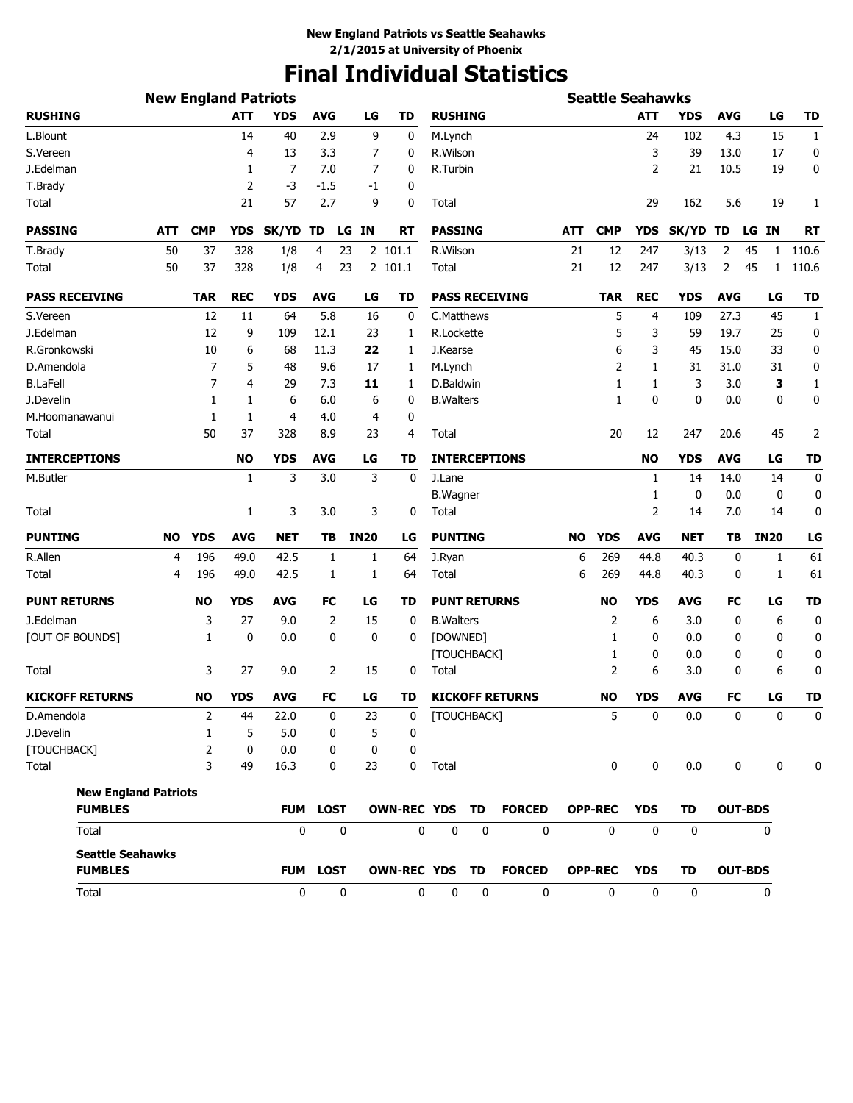# **Final Individual Statistics**

|                             | <b>New England Patriots</b> |                |            |              |                  |             |                       |                   |                     |                        |     | <b>Seattle Seahawks</b> |              |              |                |                    |              |
|-----------------------------|-----------------------------|----------------|------------|--------------|------------------|-------------|-----------------------|-------------------|---------------------|------------------------|-----|-------------------------|--------------|--------------|----------------|--------------------|--------------|
| <b>RUSHING</b>              |                             |                | <b>ATT</b> | <b>YDS</b>   | <b>AVG</b>       | LG          | TD                    | <b>RUSHING</b>    |                     |                        |     |                         | <b>ATT</b>   | <b>YDS</b>   | <b>AVG</b>     | LG                 | <b>TD</b>    |
| L.Blount                    |                             |                | 14         | 40           | 2.9              | 9           | 0                     | M.Lynch           |                     |                        |     |                         | 24           | 102          | 4.3            | 15                 | $\mathbf{1}$ |
| S.Vereen                    |                             |                | 4          | 13           | 3.3              | 7           | 0                     | R.Wilson          |                     |                        |     |                         | 3            | 39           | 13.0           | 17                 | 0            |
| J.Edelman                   |                             |                | 1          | 7            | 7.0              | 7           | 0                     | R.Turbin          |                     |                        |     |                         | 2            | 21           | 10.5           | 19                 | 0            |
| T.Brady                     |                             |                | 2          | -3           | -1.5             | -1          | 0                     |                   |                     |                        |     |                         |              |              |                |                    |              |
| Total                       |                             |                | 21         | 57           | 2.7              | 9           | 0                     | Total             |                     |                        |     |                         | 29           | 162          | 5.6            | 19                 | 1            |
| <b>PASSING</b>              | ATT                         | <b>CMP</b>     | <b>YDS</b> | SK/YD        | TD               | LG<br>IN    | RT                    | <b>PASSING</b>    |                     |                        | ATT | <b>CMP</b>              | <b>YDS</b>   | SK/YD TD     |                | LG IN              | RT           |
| T.Brady                     | 50                          | 37             | 328        | 1/8          | 4                | 23          | 2 101.1               | R.Wilson          |                     |                        | 21  | 12                      | 247          | 3/13         | 2              | 45<br>1            | 110.6        |
| Total                       | 50                          | 37             | 328        | 1/8          | 4                | 23          | 2 101.1               | Total             |                     |                        | 21  | 12                      | 247          | 3/13         | 2              | 45<br>$\mathbf{1}$ | 110.6        |
| <b>PASS RECEIVING</b>       |                             | <b>TAR</b>     | <b>REC</b> | <b>YDS</b>   | <b>AVG</b>       | LG          | TD                    |                   |                     | <b>PASS RECEIVING</b>  |     | TAR                     | <b>REC</b>   | <b>YDS</b>   | <b>AVG</b>     | LG                 | TD           |
| S.Vereen                    |                             | 12             | 11         | 64           | 5.8              | 16          | 0                     | C.Matthews        |                     |                        |     | 5                       | 4            | 109          | 27.3           | 45                 | 1            |
| J.Edelman                   |                             | 12             | 9          | 109          | 12.1             | 23          | 1                     | R.Lockette        |                     |                        |     | 5                       | 3            | 59           | 19.7           | 25                 | 0            |
| R.Gronkowski                |                             | 10             | 6          | 68           | 11.3             | 22          | 1                     | J.Kearse          |                     |                        |     | 6                       | 3            | 45           | 15.0           | 33                 | 0            |
| D.Amendola                  |                             | 7              | 5          | 48           | 9.6              | 17          | 1                     | M.Lynch           |                     |                        |     | 2                       | 1            | 31           | 31.0           | 31                 | 0            |
| <b>B.LaFell</b>             |                             | 7              | 4          | 29           | 7.3              | 11          | 1                     | D.Baldwin         |                     |                        |     | 1                       | 1            | 3            | 3.0            | З                  | 1            |
| J.Develin                   |                             | 1              | 1          | 6            | 6.0              | 6           | 0                     | <b>B.</b> Walters |                     |                        |     | 1                       | 0            | 0            | 0.0            | 0                  | 0            |
| M.Hoomanawanui              |                             | 1              | 1          | 4            | 4.0              | 4           | 0                     |                   |                     |                        |     |                         |              |              |                |                    |              |
| Total                       |                             | 50             | 37         | 328          | 8.9              | 23          | 4                     | Total             |                     |                        |     | 20                      | 12           | 247          | 20.6           | 45                 | 2            |
| <b>INTERCEPTIONS</b>        |                             |                | <b>NO</b>  | <b>YDS</b>   | <b>AVG</b>       | LG          | TD                    |                   |                     | <b>INTERCEPTIONS</b>   |     |                         | <b>NO</b>    | <b>YDS</b>   | <b>AVG</b>     | LG                 | <b>TD</b>    |
| M.Butler                    |                             |                | 1          | 3            | 3.0              | 3           | 0                     | J.Lane            |                     |                        |     |                         | 1            | 14           | 14.0           | 14                 | 0            |
|                             |                             |                |            |              |                  |             |                       | <b>B.Wagner</b>   |                     |                        |     |                         | 1            | 0            | 0.0            | 0                  | 0            |
| Total                       |                             |                | 1          | 3            | 3.0              | 3           | 0                     | Total             |                     |                        |     |                         | 2            | 14           | 7.0            | 14                 | 0            |
| <b>PUNTING</b>              | <b>NO</b>                   | <b>YDS</b>     | <b>AVG</b> | NET          | TВ               | <b>IN20</b> | LG                    | <b>PUNTING</b>    |                     |                        | NO  | <b>YDS</b>              | <b>AVG</b>   | <b>NET</b>   | TB             | <b>IN20</b>        | LG           |
| R.Allen                     | 4                           | 196            | 49.0       | 42.5         | 1                | 1           | 64                    | J.Ryan            |                     |                        | 6   | 269                     | 44.8         | 40.3         | 0              | 1                  | 61           |
| Total                       | 4                           | 196            | 49.0       | 42.5         | 1                | 1           | 64                    | Total             |                     |                        | 6   | 269                     | 44.8         | 40.3         | 0              | 1                  | 61           |
| <b>PUNT RETURNS</b>         |                             | <b>NO</b>      | <b>YDS</b> | <b>AVG</b>   | FC               | LG          | TD                    |                   | <b>PUNT RETURNS</b> |                        |     | <b>NO</b>               | <b>YDS</b>   | <b>AVG</b>   | <b>FC</b>      | LG                 | <b>TD</b>    |
| J.Edelman                   |                             | 3              | 27         | 9.0          | 2                | 15          | 0                     | <b>B.</b> Walters |                     |                        |     | 2                       | 6            | 3.0          | 0              | 6                  | 0            |
| [OUT OF BOUNDS]             |                             | 1              | 0          | 0.0          | 0                | 0           | 0                     | [DOWNED]          |                     |                        |     | 1                       | 0            | 0.0          | 0              | 0                  | 0            |
|                             |                             |                |            |              |                  |             |                       |                   | [TOUCHBACK]         |                        |     | 1                       | 0            | 0.0          | 0              | 0                  | 0            |
| Total                       |                             | 3              | 27         | 9.0          | 2                | 15          | 0                     | Total             |                     |                        |     | 2                       | 6            | 3.0          | 0              | 6                  | 0            |
| <b>KICKOFF RETURNS</b>      |                             | <b>NO</b>      | <b>YDS</b> | <b>AVG</b>   | FC               | LG          | TD                    |                   |                     | <b>KICKOFF RETURNS</b> |     | <b>NO</b>               | <b>YDS</b>   | <b>AVG</b>   | <b>FC</b>      | LG                 | <b>TD</b>    |
| D.Amendola                  |                             | $\overline{2}$ | 44         | 22.0         | $\boldsymbol{0}$ | 23          | $\bf{0}$              | [TOUCHBACK]       |                     |                        |     | 5                       | 0            | $0.0\,$      | $\mathbf 0$    | $\mathbf 0$        | $\Omega$     |
| J.Develin                   |                             | 1              | 5          | 5.0          | 0                | 5           | 0                     |                   |                     |                        |     |                         |              |              |                |                    |              |
| [TOUCHBACK]                 |                             | 2              | 0          | 0.0          | 0                | 0           | 0                     |                   |                     |                        |     |                         |              |              |                |                    |              |
| Total                       |                             | 3              | 49         | 16.3         | 0                | 23          | 0                     | Total             |                     |                        |     | $\mathbf 0$             | 0            | 0.0          | 0              | $\mathbf 0$        | 0            |
| <b>New England Patriots</b> |                             |                |            |              |                  |             |                       |                   |                     |                        |     |                         |              |              |                |                    |              |
| <b>FUMBLES</b>              |                             |                |            | <b>FUM</b>   | <b>LOST</b>      |             | OWN-REC YDS TD        |                   |                     | <b>FORCED</b>          |     | <b>OPP-REC</b>          | <b>YDS</b>   | <b>TD</b>    |                | <b>OUT-BDS</b>     |              |
| Total                       |                             |                |            | $\mathbf{0}$ |                  | 0           | 0                     | $\mathbf 0$       | 0                   | $\mathbf 0$            |     | $\mathbf{0}$            | $\Omega$     | $\mathbf{0}$ |                | 0                  |              |
| <b>Seattle Seahawks</b>     |                             |                |            |              |                  |             |                       |                   |                     |                        |     |                         |              |              |                |                    |              |
| <b>FUMBLES</b>              |                             |                |            |              | <b>FUM LOST</b>  |             | <b>OWN-REC YDS TD</b> |                   |                     | <b>FORCED</b>          |     | <b>OPP-REC</b>          | <b>YDS</b>   | TD           | <b>OUT-BDS</b> |                    |              |
| Total                       |                             |                |            |              | 0                | $\mathbf 0$ | 0                     | 0                 | 0                   | 0                      |     | 0                       | $\mathbf{0}$ | $\mathbf 0$  |                | 0                  |              |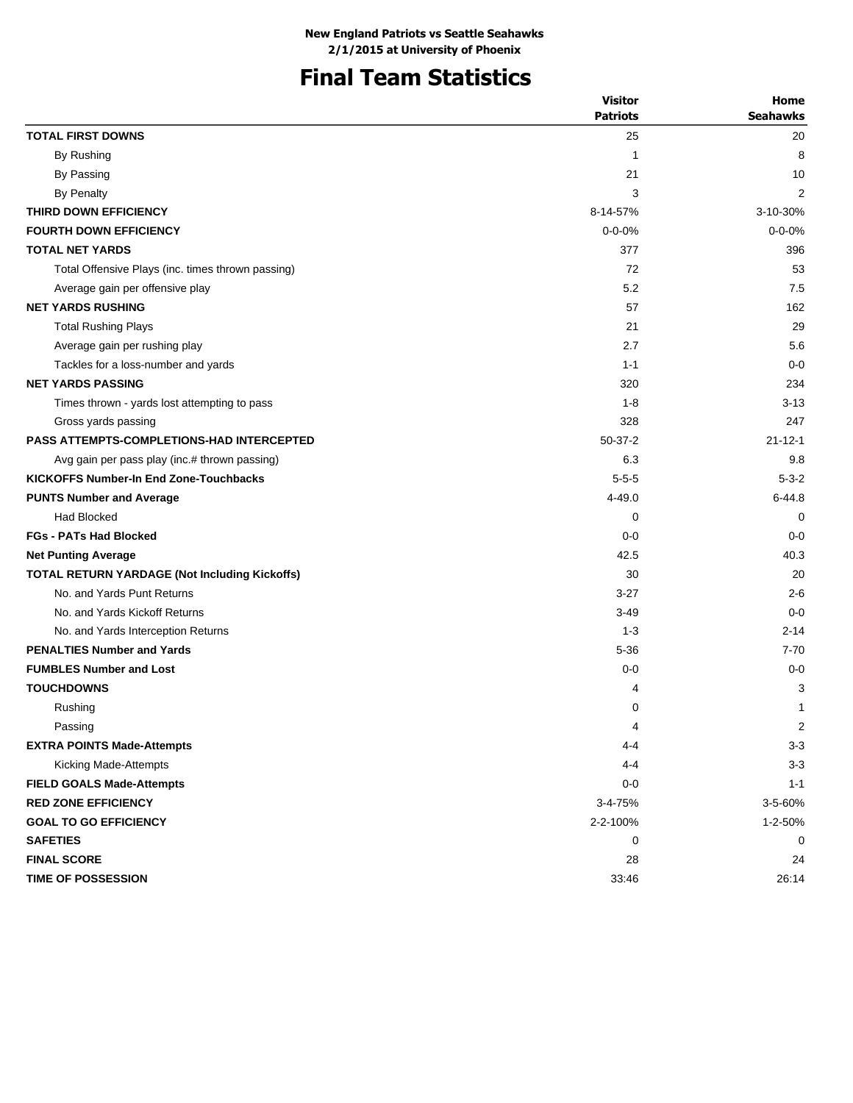# **Final Team Statistics**

|                                                      | <b>Visitor</b>  | Home                    |
|------------------------------------------------------|-----------------|-------------------------|
|                                                      | <b>Patriots</b> | <b>Seahawks</b>         |
| <b>TOTAL FIRST DOWNS</b>                             | 25              | 20                      |
| By Rushing                                           | 1               | 8                       |
| By Passing                                           | 21              | 10                      |
| <b>By Penalty</b>                                    | 3               | 2                       |
| THIRD DOWN EFFICIENCY                                | 8-14-57%        | 3-10-30%                |
| <b>FOURTH DOWN EFFICIENCY</b>                        | $0 - 0 - 0%$    | $0 - 0 - 0%$            |
| <b>TOTAL NET YARDS</b>                               | 377             | 396                     |
| Total Offensive Plays (inc. times thrown passing)    | 72              | 53                      |
| Average gain per offensive play                      | 5.2             | 7.5                     |
| <b>NET YARDS RUSHING</b>                             | 57              | 162                     |
| <b>Total Rushing Plays</b>                           | 21              | 29                      |
| Average gain per rushing play                        | 2.7             | 5.6                     |
| Tackles for a loss-number and yards                  | $1 - 1$         | $0 - 0$                 |
| <b>NET YARDS PASSING</b>                             | 320             | 234                     |
| Times thrown - yards lost attempting to pass         | $1 - 8$         | $3 - 13$                |
| Gross yards passing                                  | 328             | 247                     |
| <b>PASS ATTEMPTS-COMPLETIONS-HAD INTERCEPTED</b>     | $50-37-2$       | $21 - 12 - 1$           |
| Avg gain per pass play (inc.# thrown passing)        | 6.3             | 9.8                     |
| <b>KICKOFFS Number-In End Zone-Touchbacks</b>        | $5 - 5 - 5$     | $5 - 3 - 2$             |
| <b>PUNTS Number and Average</b>                      | 4-49.0          | $6 - 44.8$              |
| <b>Had Blocked</b>                                   | 0               | $\Omega$                |
| <b>FGs - PATs Had Blocked</b>                        | $0 - 0$         | $0 - 0$                 |
| <b>Net Punting Average</b>                           | 42.5            | 40.3                    |
| <b>TOTAL RETURN YARDAGE (Not Including Kickoffs)</b> | 30              | 20                      |
| No. and Yards Punt Returns                           | $3-27$          | $2 - 6$                 |
| No. and Yards Kickoff Returns                        | $3 - 49$        | $0 - 0$                 |
| No. and Yards Interception Returns                   | $1 - 3$         | $2 - 14$                |
| <b>PENALTIES Number and Yards</b>                    | $5 - 36$        | $7 - 70$                |
| <b>FUMBLES Number and Lost</b>                       | $0 - 0$         | $0 - 0$                 |
| <b>TOUCHDOWNS</b>                                    | 4               | 3                       |
| Rushing                                              | 0               | 1                       |
| Passing                                              | 4               | $\overline{\mathbf{c}}$ |
| <b>EXTRA POINTS Made-Attempts</b>                    | $4 - 4$         | $3 - 3$                 |
| Kicking Made-Attempts                                | 4-4             | $3 - 3$                 |
| <b>FIELD GOALS Made-Attempts</b>                     | $0-0$           | $1 - 1$                 |
| <b>RED ZONE EFFICIENCY</b>                           | 3-4-75%         | 3-5-60%                 |
| <b>GOAL TO GO EFFICIENCY</b>                         | 2-2-100%        | 1-2-50%                 |
| <b>SAFETIES</b>                                      | 0               | 0                       |
| <b>FINAL SCORE</b>                                   | 28              | 24                      |
| TIME OF POSSESSION                                   | 33:46           | 26:14                   |
|                                                      |                 |                         |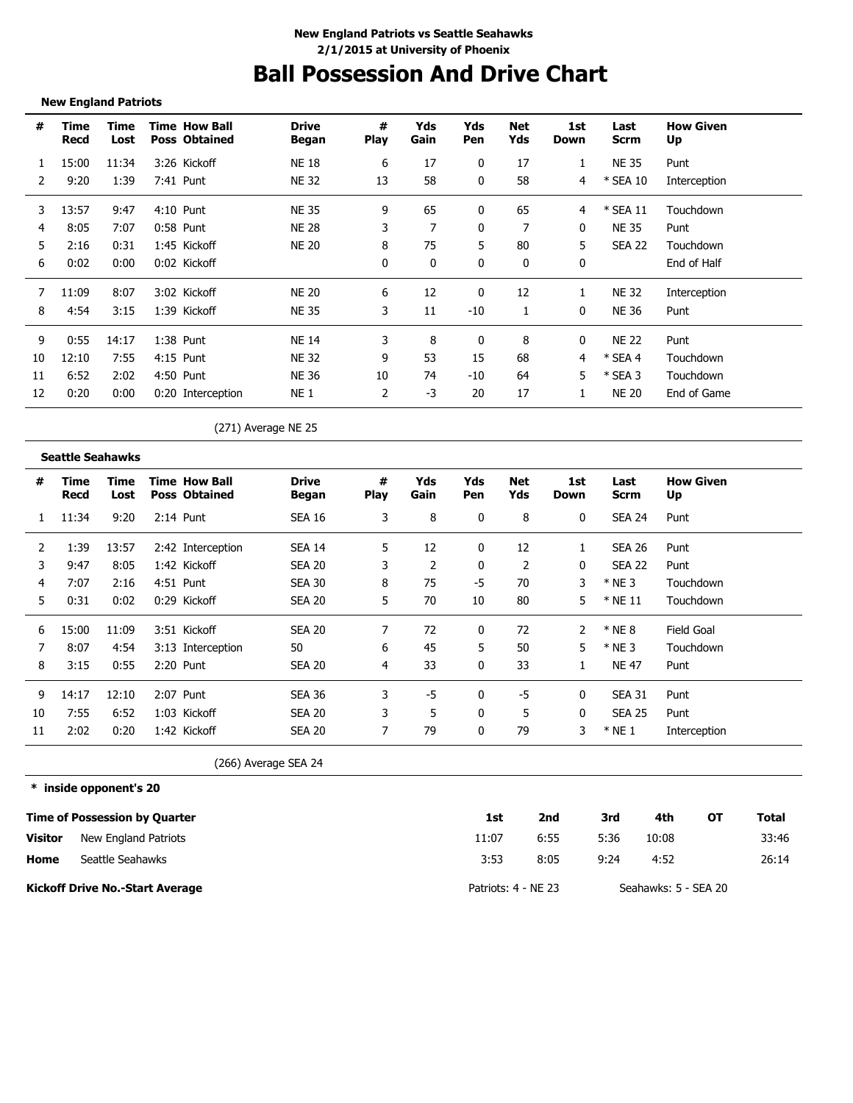# **Ball Possession And Drive Chart**

### **New England Patriots**

| #  | Time<br>Recd | Time<br>Lost | <b>Time How Ball</b><br><b>Poss Obtained</b> | <b>Drive</b><br>Began | #<br><b>Play</b> | Yds<br>Gain | Yds<br><b>Pen</b> | Net<br>Yds | 1st<br>Down | Last<br><b>Scrm</b> | <b>How Given</b><br>Up |
|----|--------------|--------------|----------------------------------------------|-----------------------|------------------|-------------|-------------------|------------|-------------|---------------------|------------------------|
|    | 15:00        | 11:34        | 3:26 Kickoff                                 | <b>NE 18</b>          | 6                | 17          | 0                 | 17         |             | <b>NE 35</b>        | Punt                   |
|    | 9:20         | 1:39         | 7:41 Punt                                    | <b>NE 32</b>          | 13               | 58          |                   | 58         | 4           | * SEA 10            | Interception           |
| 3  | 13:57        | 9:47         | $4:10$ Punt                                  | <b>NE 35</b>          | 9                | 65          | 0                 | 65         | 4           | $*$ SEA 11          | Touchdown              |
| 4  | 8:05         | 7:07         | 0:58 Punt                                    | <b>NE 28</b>          | 3                | 7           |                   |            | 0           | <b>NE 35</b>        | Punt                   |
| 5  | 2:16         | 0:31         | 1:45 Kickoff                                 | <b>NE 20</b>          | 8                | 75          | 5                 | 80         | 5           | <b>SEA 22</b>       | Touchdown              |
| 6  | 0:02         | 0:00         | 0:02 Kickoff                                 |                       | 0                | 0           | 0                 | 0          | 0           |                     | End of Half            |
|    | 11:09        | 8:07         | 3:02 Kickoff                                 | <b>NE 20</b>          | 6                | 12          | 0                 | 12         |             | <b>NE 32</b>        | Interception           |
| 8  | 4:54         | 3:15         | 1:39 Kickoff                                 | <b>NE 35</b>          | 3                | 11          | -10               |            | 0           | <b>NE 36</b>        | Punt                   |
| 9  | 0:55         | 14:17        | 1:38 Punt                                    | <b>NE 14</b>          | 3                | 8           |                   | 8          | 0           | <b>NE 22</b>        | Punt                   |
| 10 | 12:10        | 7:55         | 4:15 Punt                                    | <b>NE 32</b>          | 9                | 53          | 15                | 68         | 4           | $*$ SEA 4           | Touchdown              |
| 11 | 6:52         | 2:02         | 4:50 Punt                                    | <b>NE 36</b>          | 10               | 74          | $-10$             | 64         | 5           | $*$ SEA 3           | Touchdown              |
| 12 | 0:20         | 0:00         | 0:20 Interception                            | NE <sub>1</sub>       | 2                | $-3$        | 20                | 17         |             | <b>NE 20</b>        | End of Game            |

(271) Average NE 25

### **Seattle Seahawks**

| #  | Time<br>Recd | Time<br>Lost | <b>Time How Ball</b><br><b>Poss Obtained</b> | <b>Drive</b><br>Began | #<br><b>Play</b> | Yds<br>Gain | Yds<br>Pen   | Net<br>Yds | 1st<br>Down  | Last<br>Scrm  | <b>How Given</b><br>Up |
|----|--------------|--------------|----------------------------------------------|-----------------------|------------------|-------------|--------------|------------|--------------|---------------|------------------------|
|    | 11:34        | 9:20         | $2:14$ Punt                                  | <b>SEA 16</b>         | 3                | 8           | 0            | 8          | 0            | <b>SEA 24</b> | Punt                   |
| 2  | 1:39         | 13:57        | 2:42 Interception                            | <b>SEA 14</b>         | 5                | 12          | 0            | 12         |              | SEA 26        | Punt                   |
| 3  | 9:47         | 8:05         | 1:42 Kickoff                                 | <b>SEA 20</b>         | 3                | 2           | $\mathbf{0}$ | 2          | 0            | SEA 22        | Punt                   |
| 4  | 7:07         | 2:16         | 4:51 Punt                                    | <b>SEA 30</b>         | 8                | 75          | $-5$         | 70         | 3            | $*$ NE 3      | Touchdown              |
| 5  | 0:31         | 0:02         | 0:29 Kickoff                                 | <b>SEA 20</b>         | 5                | 70          | 10           | 80         | 5.           | $*$ NE 11     | Touchdown              |
| 6  | 15:00        | 11:09        | 3:51 Kickoff                                 | <b>SEA 20</b>         |                  | 72          | 0            | 72         | 2            | $*$ NE 8      | Field Goal             |
| 7  | 8:07         | 4:54         | 3:13 Interception                            | 50                    | 6                | 45          | 5            | 50         | 5            | $*$ NE 3      | Touchdown              |
| 8  | 3:15         | 0:55         | 2:20 Punt                                    | <b>SEA 20</b>         | 4                | 33          | 0            | 33         |              | <b>NE 47</b>  | Punt                   |
| 9  | 14:17        | 12:10        | 2:07 Punt                                    | <b>SEA 36</b>         | 3                | -5          | 0            | -5         | 0            | <b>SEA 31</b> | Punt                   |
| 10 | 7:55         | 6:52         | 1:03 Kickoff                                 | <b>SEA 20</b>         | 3                | 5           | 0            | 5          | $\mathbf{0}$ | <b>SEA 25</b> | Punt                   |
| 11 | 2:02         | 0:20         | 1:42 Kickoff                                 | <b>SEA 20</b>         |                  | 79          | 0            | 79         | 3            | $*$ NE 1      | Interception           |

(266) Average SEA 24

**\* inside opponent's 20**

|         | <b>Time of Possession by Quarter</b>   | 1st                 | 2nd  | 3rd  | 4th                  | ΟТ | Total |
|---------|----------------------------------------|---------------------|------|------|----------------------|----|-------|
| Visitor | New England Patriots                   | 11:07               | 6:55 | 5:36 | 10:08                |    | 33:46 |
| Home    | Seattle Seahawks                       | 3:53                | 8:05 | 9:24 | 4:52                 |    | 26:14 |
|         | <b>Kickoff Drive No.-Start Average</b> | Patriots: 4 - NE 23 |      |      | Seahawks: 5 - SEA 20 |    |       |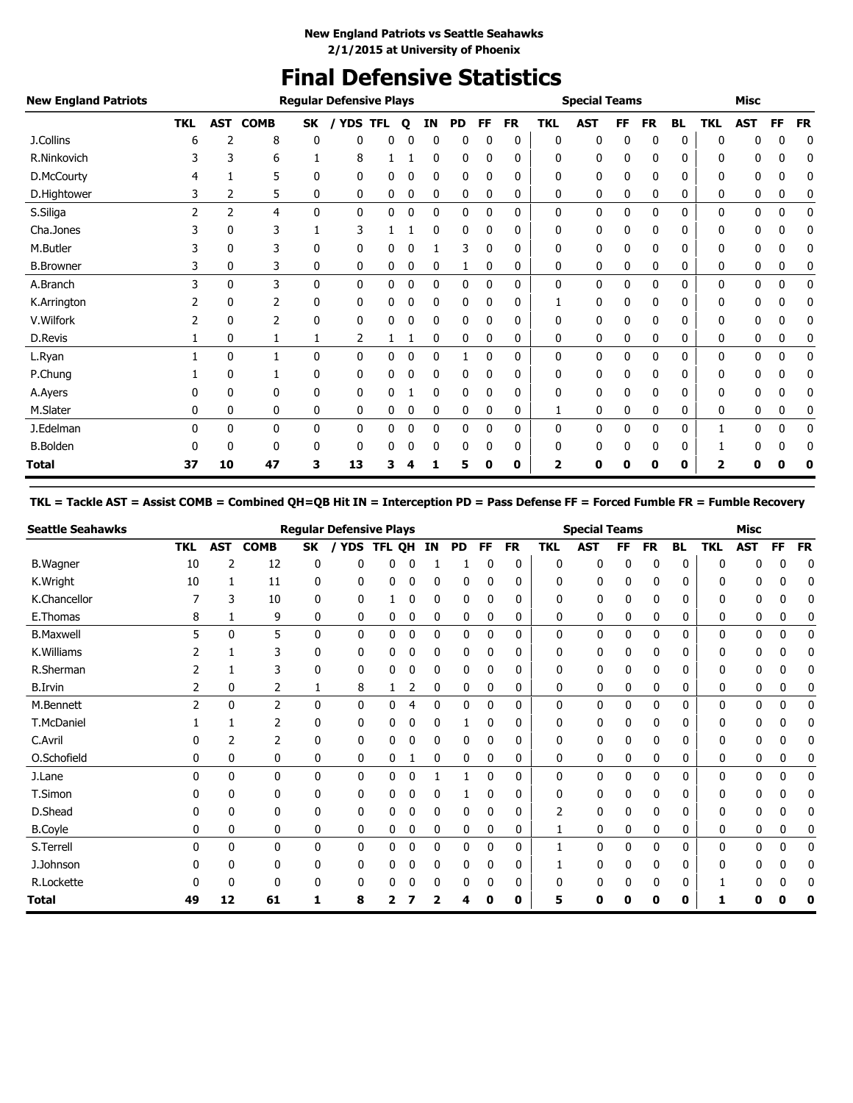# **Final Defensive Statistics**

| <b>New England Patriots</b> |               |                |             |              | <b>Regular Defensive Plays</b> |            |              |              |           |              |           |            | <b>Special Teams</b> |           |           |           |              | Misc       |             |           |
|-----------------------------|---------------|----------------|-------------|--------------|--------------------------------|------------|--------------|--------------|-----------|--------------|-----------|------------|----------------------|-----------|-----------|-----------|--------------|------------|-------------|-----------|
|                             | <b>TKL</b>    | <b>AST</b>     | <b>COMB</b> | <b>SK</b>    | <b>YDS</b>                     | <b>TFL</b> | Q            | ΙN           | <b>PD</b> | FF           | <b>FR</b> | <b>TKL</b> | <b>AST</b>           | <b>FF</b> | <b>FR</b> | <b>BL</b> | <b>TKL</b>   | <b>AST</b> | FF          | <b>FR</b> |
| J.Collins                   | 6             | 2              | 8           | 0            | 0                              | 0          |              | $\Omega$     | 0         | 0            | 0         | 0          | 0                    | 0         | 0         | 0         | 0            | 0          | 0           | 0         |
| R.Ninkovich                 |               | 3              | 6           |              | 8                              |            |              | 0            | 0         | 0            | 0         | 0          | 0                    | 0         | 0         | 0         | 0            | 0          | 0           | 0         |
| D.McCourty                  | 4             |                | 5           | 0            | 0                              | 0          | 0            | 0            | 0         | 0            | 0         | 0          | 0                    | 0         | 0         | 0         | 0            | 0          | 0           | 0         |
| D.Hightower                 | 3             | 2              | 5           | 0            | 0                              | 0          | 0            | 0            | 0         | 0            | 0         | 0          | 0                    | 0         | 0         | 0         | 0            | 0          | 0           | 0         |
| S.Siliga                    | $\mathcal{P}$ | $\overline{2}$ | 4           | $\mathbf{0}$ | 0                              | 0          | 0            | 0            | 0         | 0            | 0         | 0          | $\mathbf{0}$         | 0         | 0         | 0         | 0            | 0          | 0           | 0         |
| Cha.Jones                   | 3             | 0              | 3           | 1            | 3                              |            |              | 0            | 0         | 0            | 0         | 0          | 0                    | 0         | 0         | 0         | 0            | 0          | 0           | 0         |
| M.Butler                    |               | 0              | 3           | 0            | 0                              | 0          |              |              | 3         | 0            | 0         | 0          | 0                    | 0         | 0         | 0         | 0            | 0          | 0           | 0         |
| <b>B.Browner</b>            |               | 0              | 3           | 0            | 0                              | 0          | 0            | 0            |           | 0            | 0         | 0          | 0                    | 0         | 0         | 0         | 0            | 0          | 0           | 0         |
| A.Branch                    | 3             | 0              | 3           | $\mathbf{0}$ | 0                              | 0          | 0            | 0            | 0         | 0            | 0         | 0          | 0                    | 0         | 0         | 0         | 0            | 0          | 0           | 0         |
| K.Arrington                 |               | 0              | 2           | 0            | 0                              | 0          | 0            | 0            | 0         | 0            | 0         |            | 0                    | 0         | 0         | 0         | 0            | 0          | 0           | 0         |
| V.Wilfork                   |               | 0              | 2           | 0            | 0                              | 0          | 0            | 0            | 0         | 0            | 0         | 0          | 0                    | 0         | 0         | 0         | 0            | 0          | 0           | 0         |
| D.Revis                     |               | 0              | 1           | 1            | 2                              |            |              | 0            | 0         | 0            | 0         | 0          | 0                    | 0         | 0         | 0         | 0            | 0          | 0           | 0         |
| L.Ryan                      |               | 0              | 1           | 0            | $\mathbf{0}$                   | 0          | $\mathbf{0}$ | $\mathbf{0}$ |           | $\mathbf{0}$ | 0         | 0          | 0                    | 0         | 0         | 0         | $\mathbf{0}$ | 0          | $\mathbf 0$ | 0         |
| P.Chung                     |               | 0              |             | 0            | 0                              | 0          | 0            | 0            | 0         | 0            | 0         | 0          | 0                    | 0         | 0         | 0         | 0            | 0          | 0           | 0         |
| A.Ayers                     |               | 0              | 0           | 0            | 0                              | 0          |              | 0            | 0         | 0            | 0         | 0          | 0                    |           | 0         | 0         | 0            | 0          | 0           | 0         |
| M.Slater                    | 0             | 0              | 0           | 0            | 0                              | 0          | 0            | 0            | 0         | 0            | 0         | 1          | 0                    | 0         | 0         | 0         | 0            | 0          | 0           | 0         |
| J.Edelman                   | 0             | 0              | 0           | 0            | 0                              | 0          | 0            | 0            | 0         | 0            | 0         | 0          | 0                    | 0         | 0         | 0         | 1            | 0          | 0           | 0         |
| <b>B.Bolden</b>             | 0             | 0              | 0           | 0            | 0                              | 0          | 0            | 0            | 0         | 0            | 0         | 0          | 0                    | 0         | 0         | 0         | 1            | 0          | 0           | 0         |
| <b>Total</b>                | 37            | 10             | 47          | з            | 13                             | 3          |              |              | 5         | 0            | 0         | 2          | 0                    | Ω         | O         | 0         | 2            | Ω          |             |           |

## **TKL = Tackle AST = Assist COMB = Combined QH=QB Hit IN = Interception PD = Pass Defense FF = Forced Fumble FR = Fumble Recovery**

| <b>Seattle Seahawks</b> |            |              |                |    | <b>Regular Defensive Plays</b> |        |   |              |              |           |           |            | <b>Special Teams</b> |     |           |              |            | <b>Misc</b> |           |           |
|-------------------------|------------|--------------|----------------|----|--------------------------------|--------|---|--------------|--------------|-----------|-----------|------------|----------------------|-----|-----------|--------------|------------|-------------|-----------|-----------|
|                         | <b>TKL</b> | <b>AST</b>   | <b>COMB</b>    | SK | <b>YDS</b>                     | TFL QH |   | IN           | PD           | <b>FF</b> | <b>FR</b> | <b>TKL</b> | <b>AST</b>           | FF. | <b>FR</b> | <b>BL</b>    | <b>TKL</b> | <b>AST</b>  | <b>FF</b> | <b>FR</b> |
| <b>B.Wagner</b>         | 10         | 2            | 12             | 0  | ŋ                              |        |   |              |              |           | 0         | 0          | 0                    | 0   | 0         | 0            | 0          |             |           | 0         |
| K.Wright                | 10         |              | 11             | 0  | 0                              | 0      | 0 | 0            | 0            | 0         | 0         | 0          | 0                    | 0   | 0         | 0            | ŋ          | 0           |           | 0         |
| K.Chancellor            |            | 3            | 10             | 0  | 0                              |        | 0 | 0            | 0            | 0         | 0         | 0          | 0                    | 0   | 0         | 0            | 0          | 0           | 0         | 0         |
| E.Thomas                | 8          |              | 9              | 0  | 0                              | 0      | 0 | 0            | 0            | 0         | 0         | 0          | 0                    | 0   | 0         | 0            | 0          | 0           | 0         | 0         |
| <b>B.Maxwell</b>        | 5          | 0            | 5              | 0  | 0                              | 0      | 0 | 0            | 0            | 0         | 0         | 0          | 0                    | 0   | 0         | 0            | 0          | 0           | 0         | 0         |
| K.Williams              |            |              | 3              | 0  | 0                              | 0      | 0 | 0            | 0            | 0         | 0         | 0          | 0                    | 0   | 0         | 0            | 0          | 0           |           | 0         |
| R.Sherman               |            |              | 3              | 0  | 0                              | 0      | 0 | 0            | 0            | 0         | 0         | 0          | 0                    | 0   | 0         | 0            | 0          | 0           | 0         |           |
| <b>B.Irvin</b>          |            | 0            | 2              |    | 8                              |        | 2 | 0            | 0            | 0         | 0         | 0          | 0                    | 0   | 0         | 0            | 0          | 0           | 0         | 0         |
| M.Bennett               | 2          | $\mathbf{0}$ | $\overline{2}$ | 0  | $\mathbf{0}$                   | 0      | 4 | 0            | $\mathbf{0}$ | 0         | 0         | 0          | 0                    | 0   | $\Omega$  | $\mathbf{0}$ | 0          | 0           | 0         | 0         |
| T.McDaniel              |            |              | 2              | 0  | 0                              | 0      | 0 | 0            |              | 0         | 0         | 0          | 0                    | 0   | $\Omega$  | 0            | 0          | 0           |           | 0         |
| C.Avril                 | n          |              | 2              | 0  | 0                              | 0      | 0 | 0            | 0            | 0         | 0         | 0          | 0                    | 0   | 0         | 0            | 0          | 0           | 0         | 0         |
| O.Schofield             | 0          | 0            | 0              | 0  | 0                              | 0      |   | 0            | 0            | 0         | 0         | 0          | 0                    | 0   | 0         | 0            | 0          | 0           | 0         | 0         |
| J.Lane                  | 0          | $\Omega$     | $\mathbf{0}$   | 0  | $\mathbf{0}$                   | 0      | 0 |              |              | 0         | 0         | 0          | 0                    | 0   | $\Omega$  | 0            | 0          | 0           | 0         | 0         |
| T.Simon                 | n          | 0            | $\mathbf{0}$   | 0  | 0                              | 0      | 0 | 0            |              | 0         | 0         | 0          | 0                    | 0   | 0         | 0            | 0          | 0           | 0         | 0         |
| D.Shead                 | n          | 0            | 0              | 0  | 0                              | 0      | 0 | 0            | 0            | 0         | 0         | 2          | 0                    | 0   | 0         | 0            | 0          | 0           | 0         | 0         |
| <b>B.Coyle</b>          | 0          | 0            | 0              | 0  | 0                              | 0      | 0 | 0            | 0            | 0         | 0         |            | 0                    | 0   | 0         | 0            | 0          | 0           | 0         | 0         |
| S.Terrell               | 0          | $\Omega$     | $\mathbf{0}$   | 0  | $\mathbf{0}$                   | 0      | 0 | $\mathbf{0}$ | $\mathbf{0}$ | 0         | 0         |            | 0                    | 0   | $\Omega$  | 0            | 0          | 0           | 0         | 0         |
| J.Johnson               | n          | 0            | 0              | 0  | 0                              | 0      | 0 | 0            | 0            | 0         | 0         |            | 0                    | 0   | $\Omega$  | 0            | ŋ          | 0           | ŋ         | 0         |
| R.Lockette              |            |              | 0              | 0  | 0                              |        | 0 | 0            | 0            | 0         | 0         |            | 0                    | 0   | 0         | 0            |            |             |           |           |
| Total                   | 49         | 12           | 61             |    | 8                              |        |   | 7            | 4            | 0         | 0         | 5          | 0                    | n   | 0         | 0            |            | Ω           | Ω         | 0         |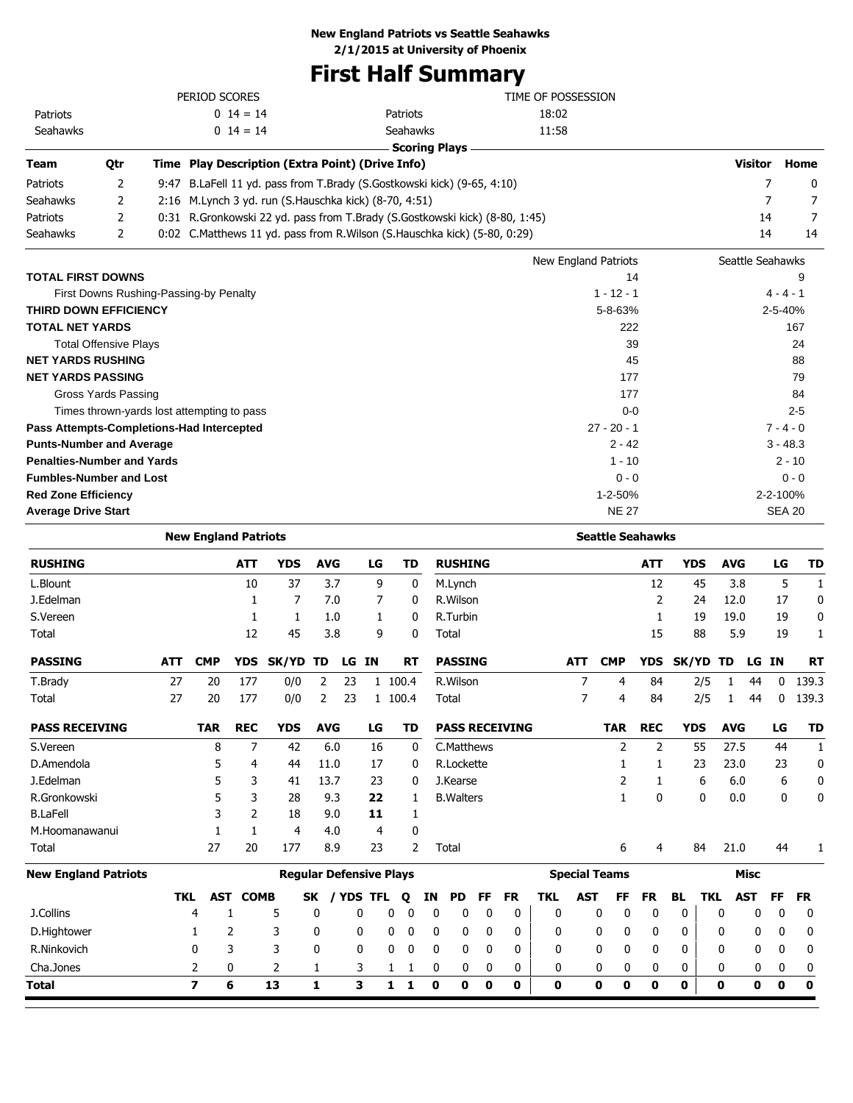# **New England Patriots vs Seattle Seahawks**

**2/1/2015 at University of Phoenix**

# **First Half Summary**

|                 |     | PERIOD SCORES                                           |                                                                             | TIME OF POSSESSION |                |          |
|-----------------|-----|---------------------------------------------------------|-----------------------------------------------------------------------------|--------------------|----------------|----------|
| <b>Patriots</b> |     | $0 \t14 = 14$                                           | <b>Patriots</b>                                                             | 18:02              |                |          |
| Seahawks        |     | $0 \t14 = 14$                                           | <b>Seahawks</b>                                                             | 11:58              |                |          |
|                 |     |                                                         | Scoring Plays                                                               |                    |                |          |
| Team            | 0tr | Time Play Description (Extra Point) (Drive Info)        |                                                                             |                    | <b>Visitor</b> | Home     |
| <b>Patriots</b> |     |                                                         | 9:47 B.LaFell 11 yd. pass from T.Brady (S.Gostkowski kick) (9-65, 4:10)     |                    |                | $\Omega$ |
| <b>Seahawks</b> |     | 2:16 M. Lynch 3 yd. run (S. Hauschka kick) (8-70, 4:51) |                                                                             |                    |                |          |
| Patriots        |     |                                                         | 0:31 R.Gronkowski 22 yd. pass from T.Brady (S.Gostkowski kick) (8-80, 1:45) |                    | 14             |          |
| <b>Seahawks</b> |     |                                                         | 0:02 C.Matthews 11 yd. pass from R.Wilson (S.Hauschka kick) (5-80, 0:29)    |                    | 14             | 14       |

|                                            | New England Patriots | Seattle Seahawks |
|--------------------------------------------|----------------------|------------------|
| <b>TOTAL FIRST DOWNS</b>                   | 14                   | 9                |
| First Downs Rushing-Passing-by Penalty     | $1 - 12 - 1$         | $4 - 4 - 1$      |
| <b>THIRD DOWN EFFICIENCY</b>               | $5 - 8 - 63%$        | 2-5-40%          |
| <b>TOTAL NET YARDS</b>                     | 222                  | 167              |
| <b>Total Offensive Plays</b>               | 39                   | 24               |
| <b>NET YARDS RUSHING</b>                   | 45                   | 88               |
| <b>NET YARDS PASSING</b>                   | 177                  | 79               |
| Gross Yards Passing                        | 177                  | 84               |
| Times thrown-yards lost attempting to pass | $0 - 0$              | $2 - 5$          |
| Pass Attempts-Completions-Had Intercepted  | $27 - 20 - 1$        | $7 - 4 - 0$      |
| <b>Punts-Number and Average</b>            | $2 - 42$             | $3 - 48.3$       |
| <b>Penalties-Number and Yards</b>          | $1 - 10$             | $2 - 10$         |
| <b>Fumbles-Number and Lost</b>             | $0 - 0$              | $0 - 0$          |
| <b>Red Zone Efficiency</b>                 | $1 - 2 - 50%$        | 2-2-100%         |
| <b>Average Drive Start</b>                 | <b>NE 27</b>         | <b>SEA 20</b>    |

|                             |            | <b>New England Patriots</b> |             |            |            |                                |    |   |             |    |                   |           |                       |              |                      |              | <b>Seattle Seahawks</b> |              |            |            |              |           |             |
|-----------------------------|------------|-----------------------------|-------------|------------|------------|--------------------------------|----|---|-------------|----|-------------------|-----------|-----------------------|--------------|----------------------|--------------|-------------------------|--------------|------------|------------|--------------|-----------|-------------|
| <b>RUSHING</b>              |            |                             | <b>ATT</b>  | <b>YDS</b> | <b>AVG</b> |                                | LG |   | TD          |    | <b>RUSHING</b>    |           |                       |              |                      |              | <b>ATT</b>              | <b>YDS</b>   |            | <b>AVG</b> |              | LG        | <b>TD</b>   |
| L.Blount                    |            |                             | 10          | 37         |            | 3.7                            | 9  |   | 0           |    | M.Lynch           |           |                       |              |                      |              | 12                      |              | 45         | 3.8        |              | 5         | 1           |
| J.Edelman                   |            |                             |             | 7          |            | 7.0                            | 7  |   | 0           |    | R. Wilson         |           |                       |              |                      |              | 2                       |              | 24         | 12.0       |              | 17        | 0           |
| S.Vereen                    |            |                             |             | 1          |            | 1.0                            |    |   | 0           |    | R.Turbin          |           |                       |              |                      |              | 1                       |              | 19         | 19.0       |              | 19        | 0           |
| Total                       |            |                             | 12          | 45         |            | 3.8                            | 9  |   | $\mathbf 0$ |    | Total             |           |                       |              |                      |              | 15                      |              | 88         | 5.9        |              | 19        | 1           |
| <b>PASSING</b>              | <b>ATT</b> | <b>CMP</b>                  | <b>YDS</b>  | SK/YD      | TD         | LG                             | IN |   | <b>RT</b>   |    | <b>PASSING</b>    |           |                       |              | <b>ATT</b>           | <b>CMP</b>   | <b>YDS</b>              | <b>SK/YD</b> |            | TD         | LG           | <b>IN</b> | <b>RT</b>   |
| T.Brady                     | 27         | 20                          | 177         | 0/0        | 2          | 23                             |    |   | 1 100.4     |    | R.Wilson          |           |                       |              | 7                    | 4            | 84                      |              | 2/5        | 1          | 44           | 0         | 139.3       |
| Total                       | 27         | 20                          | 177         | 0/0        | 2          | 23                             |    |   | 1 100.4     |    | Total             |           |                       |              | $\overline{7}$       | 4            | 84                      |              | 2/5        | 1          | 44           | 0         | 139.3       |
| <b>PASS RECEIVING</b>       |            | <b>TAR</b>                  | <b>REC</b>  | <b>YDS</b> | <b>AVG</b> |                                | LG |   | TD          |    |                   |           | <b>PASS RECEIVING</b> |              |                      | <b>TAR</b>   | <b>REC</b>              | <b>YDS</b>   |            | <b>AVG</b> |              | LG        | TD          |
| S.Vereen                    |            | 8                           | 7           | 42         |            | 6.0                            | 16 |   | 0           |    | C.Matthews        |           |                       |              |                      | 2            | 2                       |              | 55         | 27.5       |              | 44        | 1           |
| D.Amendola                  |            | 5                           | 4           | 44         | 11.0       |                                | 17 |   | 0           |    | R.Lockette        |           |                       |              |                      |              | 1                       |              | 23         | 23.0       |              | 23        | $\mathbf 0$ |
| J.Edelman                   |            | 5                           | 3           | 41         | 13.7       |                                | 23 |   | 0           |    | J.Kearse          |           |                       |              |                      | 2            | 1                       |              | 6          | 6.0        |              | 6         | 0           |
| R.Gronkowski                |            | 5                           | 3           | 28         |            | 9.3                            | 22 |   | 1           |    | <b>B.</b> Walters |           |                       |              |                      | $\mathbf{1}$ | $\mathbf{0}$            |              | 0          | 0.0        |              | 0         | 0           |
| <b>B.LaFell</b>             |            | 3                           | 2           | 18         |            | 9.0                            | 11 |   | 1           |    |                   |           |                       |              |                      |              |                         |              |            |            |              |           |             |
| M.Hoomanawanui              |            |                             | 1           | 4          |            | 4.0                            | 4  |   | 0           |    |                   |           |                       |              |                      |              |                         |              |            |            |              |           |             |
| Total                       |            | 27                          | 20          | 177        |            | 8.9                            | 23 |   | 2           |    | Total             |           |                       |              |                      | 6            | 4                       |              | 84         | 21.0       |              | 44        |             |
| <b>New England Patriots</b> |            |                             |             |            |            | <b>Regular Defensive Plays</b> |    |   |             |    |                   |           |                       |              | <b>Special Teams</b> |              |                         |              |            |            | Misc         |           |             |
|                             | <b>TKL</b> | AST                         | <b>COMB</b> |            | <b>SK</b>  | / YDS TFL                      |    |   | Q           | ΙN | <b>PD</b>         | <b>FF</b> | <b>FR</b>             | <b>TKL</b>   | <b>AST</b>           | FF           | <b>FR</b>               | <b>BL</b>    | <b>TKL</b> |            | <b>AST</b>   | <b>FF</b> | <b>FR</b>   |
| J.Collins                   |            | 4                           | 1           | 5          | 0          |                                | 0  | 0 | 0           | 0  | 0                 | 0         | 0                     | $\mathbf{0}$ | 0                    | 0            | 0                       | 0            |            | 0          | 0            | 0         | 0           |
| D.Hightower                 |            | 1                           | 2           | 3          | 0          | 0                              |    | 0 | 0           | 0  | 0                 | 0         | 0                     | 0            | 0                    | 0            | 0                       | 0            |            | 0          | 0            | 0         | 0           |
| R.Ninkovich                 |            | 0                           | 3           | 3          | 0          | $\mathbf{0}$                   |    | 0 | 0           | 0  | 0                 | 0         | 0                     | 0            | 0                    | 0            | 0                       | 0            |            | 0          | $\mathbf{0}$ | 0         | 0           |
| Cha.Jones                   |            | 2                           | 0           | 2          | 1          |                                | 3  | 1 | 1           | 0  | 0                 | 0         | 0                     | 0            | 0                    | 0            | 0                       | 0            |            | 0          | 0            | 0         | 0           |
| Total                       |            | $\overline{\mathbf{z}}$     | 6           | 13         | 1          | 3                              |    | 1 | 1           | 0  | 0                 | 0         | 0                     | 0            | 0                    | 0            | 0                       | 0            |            | 0          | 0            | 0         | 0           |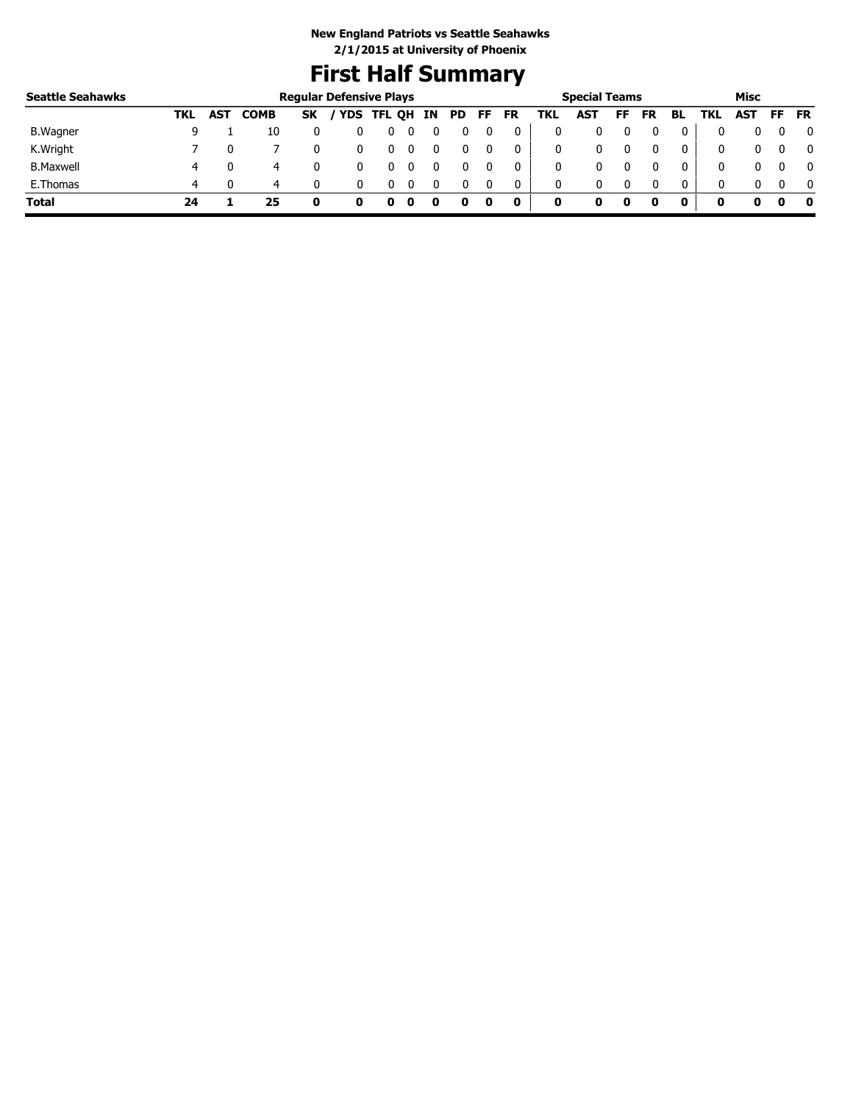# **First Half Summary**

| <b>Seattle Seahawks</b> |     |     |             |           | <b>Regular Defensive Plays</b> |   |    |    |    |           |     | <b>Special Teams</b> |    |           |              |     | Misc |     |              |
|-------------------------|-----|-----|-------------|-----------|--------------------------------|---|----|----|----|-----------|-----|----------------------|----|-----------|--------------|-----|------|-----|--------------|
|                         | TKL | AST | <b>COMB</b> | <b>SK</b> | / YDS TFL QH                   |   | IN | PD | FF | <b>FR</b> | TKL | AST                  | FF | <b>FR</b> | BL           | TKL | AST  | FF. | <b>FR</b>    |
| B. Wagner               |     |     | 10          |           |                                | U |    |    |    |           |     |                      |    |           |              |     |      |     | 0            |
| K.Wright                |     |     |             |           |                                | U |    |    |    |           | 0   |                      |    |           |              |     |      |     | 0            |
| <b>B.Maxwell</b>        | 4   |     | 4           |           |                                |   |    |    |    |           | 0   |                      |    |           |              | 0   |      |     | $\mathbf{0}$ |
| E.Thomas                | 4   |     | 4           |           |                                | U |    |    |    |           | 0   | 0                    |    |           | $\mathbf{0}$ |     |      |     | $\Omega$     |
| <b>Total</b>            | 24  |     | 25          | 0         |                                |   |    |    | 0  | 0         | 0   |                      | 0  |           |              |     | o    |     | - 0          |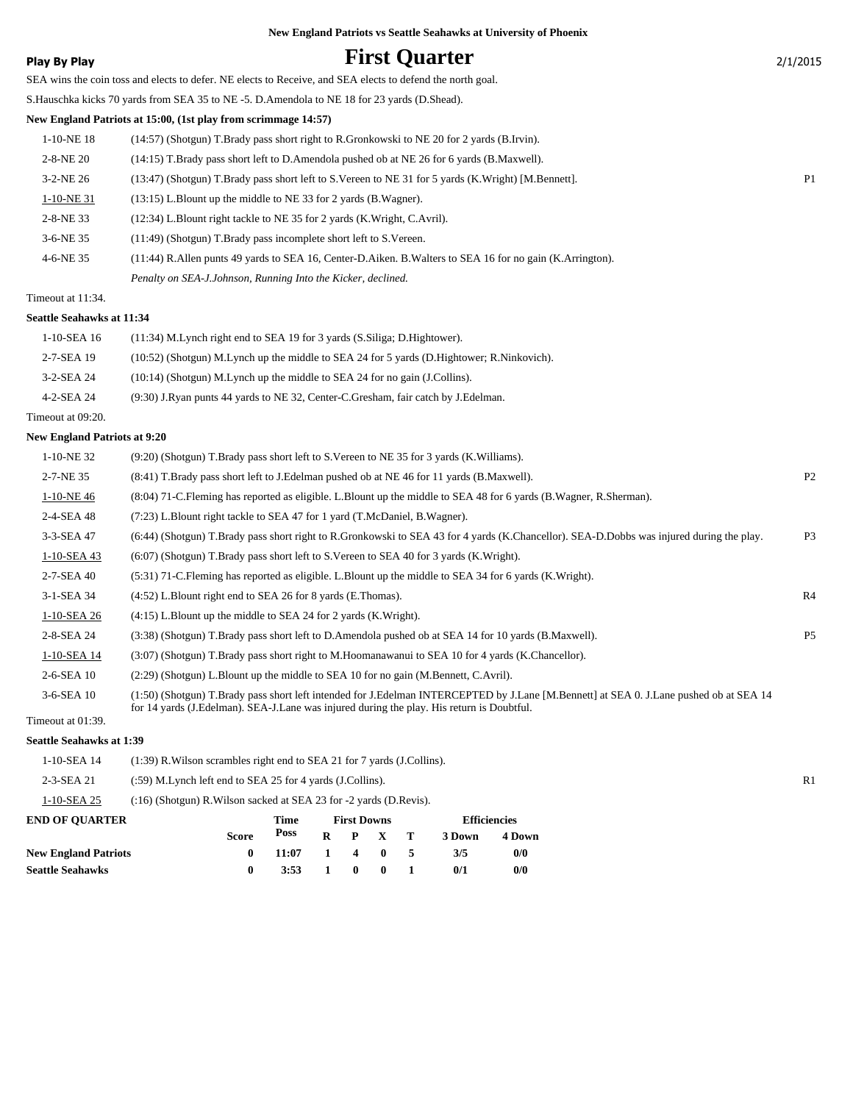# **Play By Play Play Play Play First Quarter** 2/1/2015

SEA wins the coin toss and elects to defer. NE elects to Receive, and SEA elects to defend the north goal. S.Hauschka kicks 70 yards from SEA 35 to NE -5. D.Amendola to NE 18 for 23 yards (D.Shead).

# **New England Patriots at 15:00, (1st play from scrimmage 14:57)**

| 1-10-NE 18      | (14:57) (Shotgun) T.Brady pass short right to R.Gronkowski to NE 20 for 2 yards (B.Irvin).                   |                |
|-----------------|--------------------------------------------------------------------------------------------------------------|----------------|
| $2 - 8 - NE$ 20 | (14:15) T.Brady pass short left to D.Amendola pushed ob at NE 26 for 6 yards (B.Maxwell).                    |                |
| $3-2-NE$ 26     | (13:47) (Shotgun) T.Brady pass short left to S.Vereen to NE 31 for 5 yards (K.Wright) [M.Bennett].           | P <sub>1</sub> |
| 1-10-NE 31      | $(13:15)$ L.Blount up the middle to NE 33 for 2 yards (B.Wagner).                                            |                |
| $2 - 8 - NE$ 33 | (12:34) L.Blount right tackle to NE 35 for 2 yards (K.Wright, C.Avril).                                      |                |
| $3-6-NE$ 35     | $(11:49)$ (Shotgun) T.Brady pass incomplete short left to S.Vereen.                                          |                |
| 4-6-NE 35       | (11:44) R. Allen punts 49 yards to SEA 16, Center-D. Aiken. B. Walters to SEA 16 for no gain (K. Arrington). |                |
|                 | Penalty on SEA-J.Johnson, Running Into the Kicker, declined.                                                 |                |

## Timeout at 11:34.

#### **Seattle Seahawks at 11:34**

| 1-10-SEA 16       | $(11:34)$ M. Lynch right end to SEA 19 for 3 yards $(S.Siliga; D.Hightower)$ .            |
|-------------------|-------------------------------------------------------------------------------------------|
| 2-7-SEA 19        | (10:52) (Shotgun) M.Lynch up the middle to SEA 24 for 5 yards (D.Hightower; R.Ninkovich). |
| 3-2-SEA 24        | $(10:14)$ (Shotgun) M.Lynch up the middle to SEA 24 for no gain (J.Collins).              |
| 4-2-SEA 24        | (9:30) J.Ryan punts 44 yards to NE 32, Center-C.Gresham, fair catch by J.Edelman.         |
| Timeout at 09:20. |                                                                                           |

### **New England Patriots at 9:20**

| 1-10-NE 32   | (9:20) (Shotgun) T.Brady pass short left to S.Vereen to NE 35 for 3 yards (K.Williams).                                                                                                                                               |                |
|--------------|---------------------------------------------------------------------------------------------------------------------------------------------------------------------------------------------------------------------------------------|----------------|
| 2-7-NE 35    | (8.41) T.Brady pass short left to J.Edelman pushed ob at NE 46 for 11 yards (B.Maxwell).                                                                                                                                              | P <sub>2</sub> |
| 1-10-NE46    | (8:04) 71-C. Fleming has reported as eligible. L. Blount up the middle to SEA 48 for 6 yards (B. Wagner, R. Sherman).                                                                                                                 |                |
| 2-4-SEA 48   | $(7:23)$ L.Blount right tackle to SEA 47 for 1 yard $(T.McDaniel, B.Wagner)$ .                                                                                                                                                        |                |
| 3-3-SEA 47   | (6:44) (Shotgun) T.Brady pass short right to R.Gronkowski to SEA 43 for 4 yards (K.Chancellor). SEA-D.Dobbs was injured during the play.                                                                                              | P <sub>3</sub> |
| 1-10-SEA 43  | $(6.07)$ (Shotgun) T.Brady pass short left to S.Vereen to SEA 40 for 3 yards (K.Wright).                                                                                                                                              |                |
| 2-7-SEA 40   | $(5:31)$ 71-C. Fleming has reported as eligible. L. Blount up the middle to SEA 34 for 6 yards (K. Wright).                                                                                                                           |                |
| 3-1-SEA 34   | $(4:52)$ L.Blount right end to SEA 26 for 8 yards (E.Thomas).                                                                                                                                                                         | R4             |
| 1-10-SEA 26  | $(4:15)$ L.Blount up the middle to SEA 24 for 2 yards (K.Wright).                                                                                                                                                                     |                |
| 2-8-SEA 24   | (3:38) (Shotgun) T.Brady pass short left to D.Amendola pushed ob at SEA 14 for 10 yards (B.Maxwell).                                                                                                                                  | P <sub>5</sub> |
| 1-10-SEA 14  | (3:07) (Shotgun) T.Brady pass short right to M.Hoomanawanui to SEA 10 for 4 yards (K.Chancellor).                                                                                                                                     |                |
| 2-6-SEA 10   | $(2:29)$ (Shotgun) L.Blount up the middle to SEA 10 for no gain (M.Bennett, C.Avril).                                                                                                                                                 |                |
| $3-6-SEA$ 10 | (1:50) (Shotgun) T.Brady pass short left intended for J.Edelman INTERCEPTED by J.Lane [M.Bennett] at SEA 0. J.Lane pushed ob at SEA 14<br>for 14 yards (J. Edelman). SEA-J. Lane was injured during the play. His return is Doubtful. |                |

Timeout at 01:39.

#### **Seattle Seahawks at 1:39**

| 1-10-SEA 14<br>(1:39) R. Wilson scrambles right end to SEA 21 for 7 yards (J. Collins). |                                                                        |              |             |   |                    |              |   |                     |        |
|-----------------------------------------------------------------------------------------|------------------------------------------------------------------------|--------------|-------------|---|--------------------|--------------|---|---------------------|--------|
| 2-3-SEA 21                                                                              | $(.59)$ M. Lynch left end to SEA 25 for 4 yards (J. Collins).          |              |             |   |                    |              |   |                     |        |
| 1-10-SEA 25                                                                             | $(16)$ (Shotgun) R. Wilson sacked at SEA 23 for $-2$ yards (D. Revis). |              |             |   |                    |              |   |                     |        |
| <b>END OF OUARTER</b>                                                                   |                                                                        |              | <b>Time</b> |   | <b>First Downs</b> |              |   | <b>Efficiencies</b> |        |
|                                                                                         |                                                                        | <b>Score</b> | Poss        | R | P                  |              | т | 3 Down              | 4 Down |
| <b>New England Patriots</b>                                                             |                                                                        | 0            | 11:07       |   | 4                  | $\mathbf{0}$ |   | 3/5                 | 0/0    |
| <b>Seattle Seahawks</b>                                                                 |                                                                        | 0            | 3:53        |   | 0                  | 0            |   | 0/1                 | 0/0    |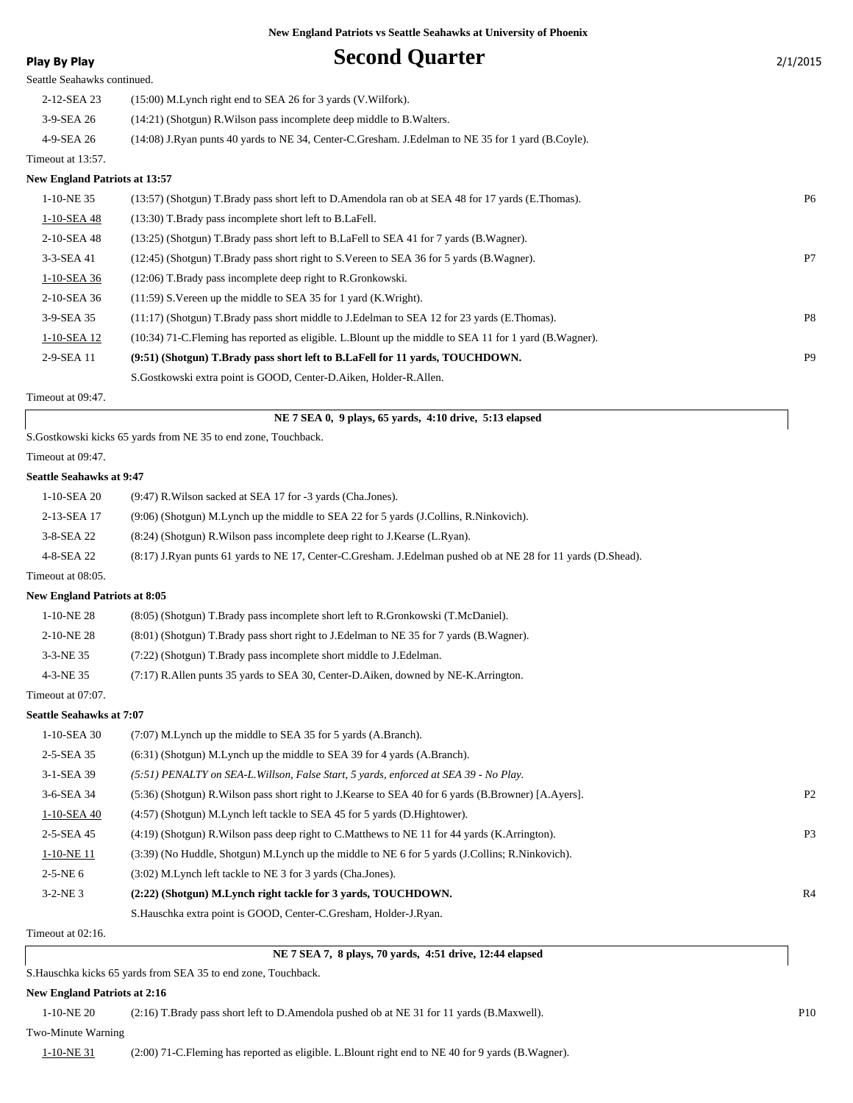| Play By Play                         | <b>Second Quarter</b>                                                                                     | 2/1/2015  |
|--------------------------------------|-----------------------------------------------------------------------------------------------------------|-----------|
| Seattle Seahawks continued.          |                                                                                                           |           |
| 2-12-SEA 23                          | $(15:00)$ M. Lynch right end to SEA 26 for 3 yards (V. Wilfork).                                          |           |
| 3-9-SEA 26                           | $(14:21)$ (Shotgun) R. Wilson pass incomplete deep middle to B. Walters.                                  |           |
| 4-9-SEA 26                           | (14:08) J.Ryan punts 40 yards to NE 34, Center-C.Gresham. J.Edelman to NE 35 for 1 yard (B.Coyle).        |           |
| Timeout at 13:57.                    |                                                                                                           |           |
| <b>New England Patriots at 13:57</b> |                                                                                                           |           |
| 1-10-NE 35                           | (13:57) (Shotgun) T.Brady pass short left to D.Amendola ran ob at SEA 48 for 17 yards (E.Thomas).         | <b>P6</b> |
| 1-10-SEA 48                          | (13:30) T.Brady pass incomplete short left to B.LaFell.                                                   |           |
| 2-10-SEA 48                          | (13:25) (Shotgun) T.Brady pass short left to B.LaFell to SEA 41 for 7 yards (B.Wagner).                   |           |
| 3-3-SEA 41                           | (12:45) (Shotgun) T.Brady pass short right to S.Vereen to SEA 36 for 5 yards (B.Wagner).                  | P7        |
| 1-10-SEA 36                          | $(12:06)$ T. Brady pass incomplete deep right to R. Gronkowski.                                           |           |
| 2-10-SEA 36                          | $(11:59)$ S. Vereen up the middle to SEA 35 for 1 yard (K. Wright).                                       |           |
| 3-9-SEA 35                           | (11:17) (Shotgun) T.Brady pass short middle to J.Edelman to SEA 12 for 23 yards (E.Thomas).               | P8        |
| 1-10-SEA 12                          | (10:34) 71-C. Fleming has reported as eligible. L. Blount up the middle to SEA 11 for 1 yard (B. Wagner). |           |
| 2-9-SEA 11                           | (9:51) (Shotgun) T.Brady pass short left to B.LaFell for 11 yards, TOUCHDOWN.                             | <b>P9</b> |
|                                      | S. Gostkowski extra point is GOOD, Center-D. Aiken, Holder-R. Allen.                                      |           |
| Timeout at 09:47.                    |                                                                                                           |           |

 **NE 7 SEA 0, 9 plays, 65 yards, 4:10 drive, 5:13 elapsed**

S.Gostkowski kicks 65 yards from NE 35 to end zone, Touchback.

#### Timeout at 09:47.

#### **Seattle Seahawks at 9:47**

| 1-10-SEA 20       | (9:47) R. Wilson sacked at SEA 17 for -3 yards (Cha. Jones).                                                  |
|-------------------|---------------------------------------------------------------------------------------------------------------|
| 2-13-SEA 17       | (9:06) (Shotgun) M.Lynch up the middle to SEA 22 for 5 yards (J.Collins, R.Ninkovich).                        |
| 3-8-SEA 22        | (8.24) (Shotgun) R. Wilson pass incomplete deep right to J. Kearse (L. Ryan).                                 |
| 4-8-SEA 22        | (8:17) J.Ryan punts 61 yards to NE 17, Center-C.Gresham. J.Edelman pushed ob at NE 28 for 11 yards (D.Shead). |
| Timeout at 08:05. |                                                                                                               |

#### **New England Patriots at 8:05**

| $1-10-NE28$       | (8.05) (Shotgun) T.Brady pass incomplete short left to R.Gronkowski (T.McDaniel).       |
|-------------------|-----------------------------------------------------------------------------------------|
| 2-10-NE 28        | (8.01) (Shotgun) T.Brady pass short right to J.Edelman to NE 35 for 7 yards (B.Wagner). |
| 3-3-NE 35         | (7:22) (Shotgun) T.Brady pass incomplete short middle to J.Edelman.                     |
| 4-3-NE 35         | $(7:17)$ R. Allen punts 35 yards to SEA 30, Center-D. Aiken, downed by NE-K. Arrington. |
| Timeout at 07:07. |                                                                                         |

### **Seattle Seahawks at 7:07**

| 1-10-SEA 30    | (7:07) M.Lynch up the middle to SEA 35 for 5 yards (A.Branch).                                          |                |
|----------------|---------------------------------------------------------------------------------------------------------|----------------|
| 2-5-SEA 35     | (6:31) (Shotgun) M.Lynch up the middle to SEA 39 for 4 yards (A.Branch).                                |                |
| 3-1-SEA 39     | (5:51) PENALTY on SEA-L. Willson, False Start, 5 yards, enforced at SEA 39 - No Play.                   |                |
| 3-6-SEA 34     | (5:36) (Shotgun) R. Wilson pass short right to J. Kearse to SEA 40 for 6 yards (B. Browner) [A. Ayers]. | P <sub>2</sub> |
| 1-10-SEA 40    | (4:57) (Shotgun) M.Lynch left tackle to SEA 45 for 5 yards (D.Hightower).                               |                |
| 2-5-SEA 45     | $(4:19)$ (Shotgun) R. Wilson pass deep right to C. Matthews to NE 11 for 44 yards (K. Arrington).       | P <sub>3</sub> |
| $1-10-NE$ 11   | (3:39) (No Huddle, Shotgun) M.Lynch up the middle to NE 6 for 5 yards (J.Collins; R.Ninkovich).         |                |
| $2 - 5 - NE_0$ | (3:02) M.Lynch left tackle to NE 3 for 3 yards (Cha.Jones).                                             |                |
| $3 - 2 - NE$ 3 | (2:22) (Shotgun) M.Lynch right tackle for 3 vards, TOUCHDOWN.                                           | R <sub>4</sub> |
|                | S. Hauschka extra point is GOOD, Center-C. Gresham, Holder-J. Ryan.                                     |                |

Timeout at 02:16.

 **NE 7 SEA 7, 8 plays, 70 yards, 4:51 drive, 12:44 elapsed**

S.Hauschka kicks 65 yards from SEA 35 to end zone, Touchback.

#### **New England Patriots at 2:16**

1-10-NE 20 (2:16) T.Brady pass short left to D.Amendola pushed ob at NE 31 for 11 yards (B.Maxwell). P10

#### Two-Minute Warning

1-10-NE 31 (2:00) 71-C.Fleming has reported as eligible. L.Blount right end to NE 40 for 9 yards (B.Wagner).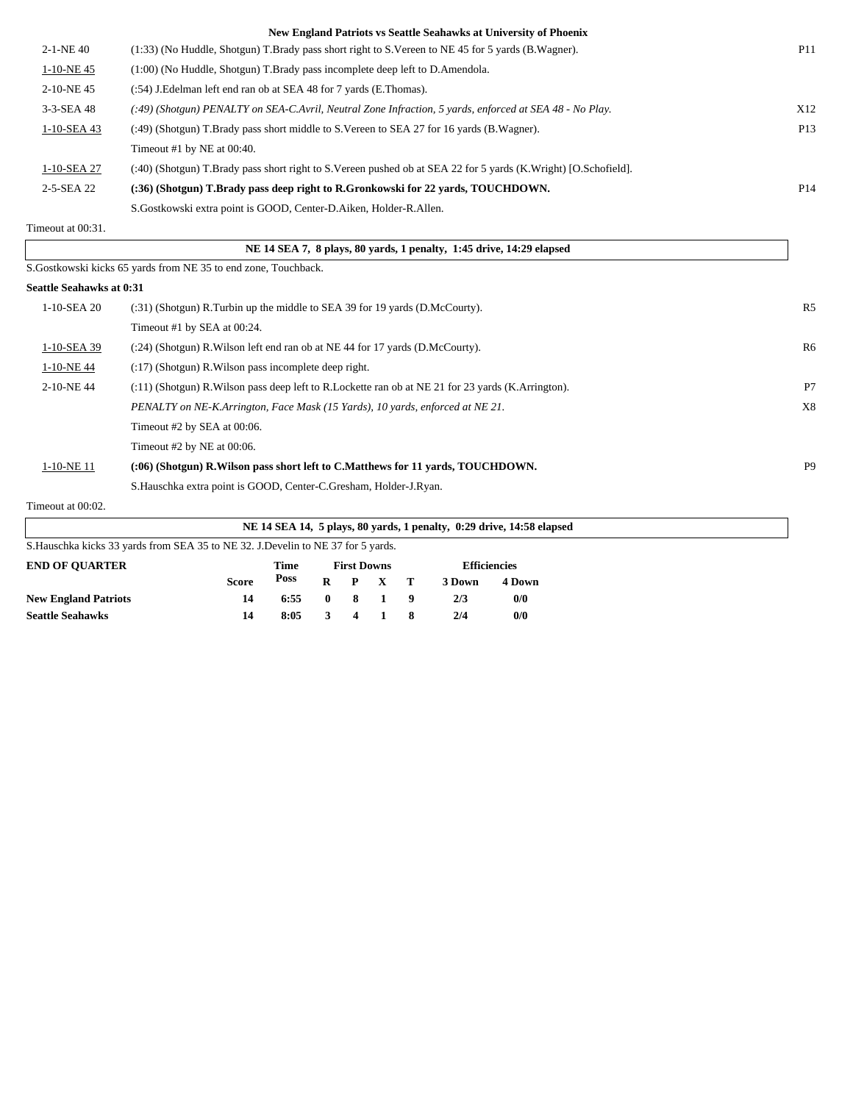|                                 | New England Patriots vs Seattle Seahawks at University of Phoenix                                              |                 |
|---------------------------------|----------------------------------------------------------------------------------------------------------------|-----------------|
| $2-1-NE$ 40                     | (1:33) (No Huddle, Shotgun) T.Brady pass short right to S.Vereen to NE 45 for 5 yards (B.Wagner).              | <b>P11</b>      |
| 1-10-NE45                       | (1:00) (No Huddle, Shotgun) T.Brady pass incomplete deep left to D.Amendola.                                   |                 |
| 2-10-NE45                       | (:54) J. Edelman left end ran ob at SEA 48 for 7 yards (E. Thomas).                                            |                 |
| 3-3-SEA 48                      | (:49) (Shotgun) PENALTY on SEA-C.Avril, Neutral Zone Infraction, 5 yards, enforced at SEA 48 - No Play.        | X12             |
| 1-10-SEA 43                     | (:49) (Shotgun) T.Brady pass short middle to S.Vereen to SEA 27 for 16 yards (B.Wagner).                       | P <sub>13</sub> |
|                                 | Timeout #1 by NE at 00:40.                                                                                     |                 |
| 1-10-SEA 27                     | (:40) (Shotgun) T.Brady pass short right to S.Vereen pushed ob at SEA 22 for 5 yards (K.Wright) [O.Schofield]. |                 |
| 2-5-SEA 22                      | (:36) (Shotgun) T.Brady pass deep right to R.Gronkowski for 22 yards, TOUCHDOWN.                               | P <sub>14</sub> |
|                                 | S.Gostkowski extra point is GOOD, Center-D.Aiken, Holder-R.Allen.                                              |                 |
| Timeout at 00:31.               |                                                                                                                |                 |
|                                 | NE 14 SEA 7, 8 plays, 80 yards, 1 penalty, 1:45 drive, 14:29 elapsed                                           |                 |
|                                 | S.Gostkowski kicks 65 yards from NE 35 to end zone, Touchback.                                                 |                 |
| <b>Seattle Seahawks at 0:31</b> |                                                                                                                |                 |
| 1-10-SEA 20                     | (:31) (Shotgun) R.Turbin up the middle to SEA 39 for 19 yards (D.McCourty).                                    | R <sub>5</sub>  |
|                                 | Timeout #1 by SEA at 00:24.                                                                                    |                 |
| 1-10-SEA 39                     | $(24)$ (Shotgun) R. Wilson left end ran ob at NE 44 for 17 yards (D. McCourty).                                | R6              |
| 1-10-NE44                       | $(17)$ (Shotgun) R. Wilson pass incomplete deep right.                                                         |                 |
| 2-10-NE44                       | (:11) (Shotgun) R. Wilson pass deep left to R. Lockette ran ob at NE 21 for 23 yards (K. Arrington).           | P7              |
|                                 | PENALTY on NE-K.Arrington, Face Mask (15 Yards), 10 yards, enforced at NE 21.                                  | X8              |
|                                 | Timeout #2 by SEA at 00:06.                                                                                    |                 |
|                                 | Timeout #2 by NE at 00:06.                                                                                     |                 |

1-10-NE 11 **(:06) (Shotgun) R.Wilson pass short left to C.Matthews for 11 yards, TOUCHDOWN.** P9

Timeout at 00:02.

| NE 14 SEA 14, 5 plays, 80 yards, 1 penalty, 0:29 drive, 14:58 elapsed             |              |      |              |                    |       |  |                     |        |  |  |
|-----------------------------------------------------------------------------------|--------------|------|--------------|--------------------|-------|--|---------------------|--------|--|--|
| S. Hauschka kicks 33 yards from SEA 35 to NE 32. J. Develin to NE 37 for 5 yards. |              |      |              |                    |       |  |                     |        |  |  |
| <b>END OF OUARTER</b>                                                             |              | Time |              | <b>First Downs</b> |       |  | <b>Efficiencies</b> |        |  |  |
|                                                                                   | <b>Score</b> | Poss | R            | P                  | $X$ T |  | 3 Down              | 4 Down |  |  |
| <b>New England Patriots</b>                                                       | 14           | 6:55 | $\mathbf{0}$ | 8                  |       |  | 2/3                 | 0/0    |  |  |
| <b>Seattle Seahawks</b>                                                           | 14           | 8:05 |              |                    |       |  | 2/4                 | 0/0    |  |  |

S.Hauschka extra point is GOOD, Center-C.Gresham, Holder-J.Ryan.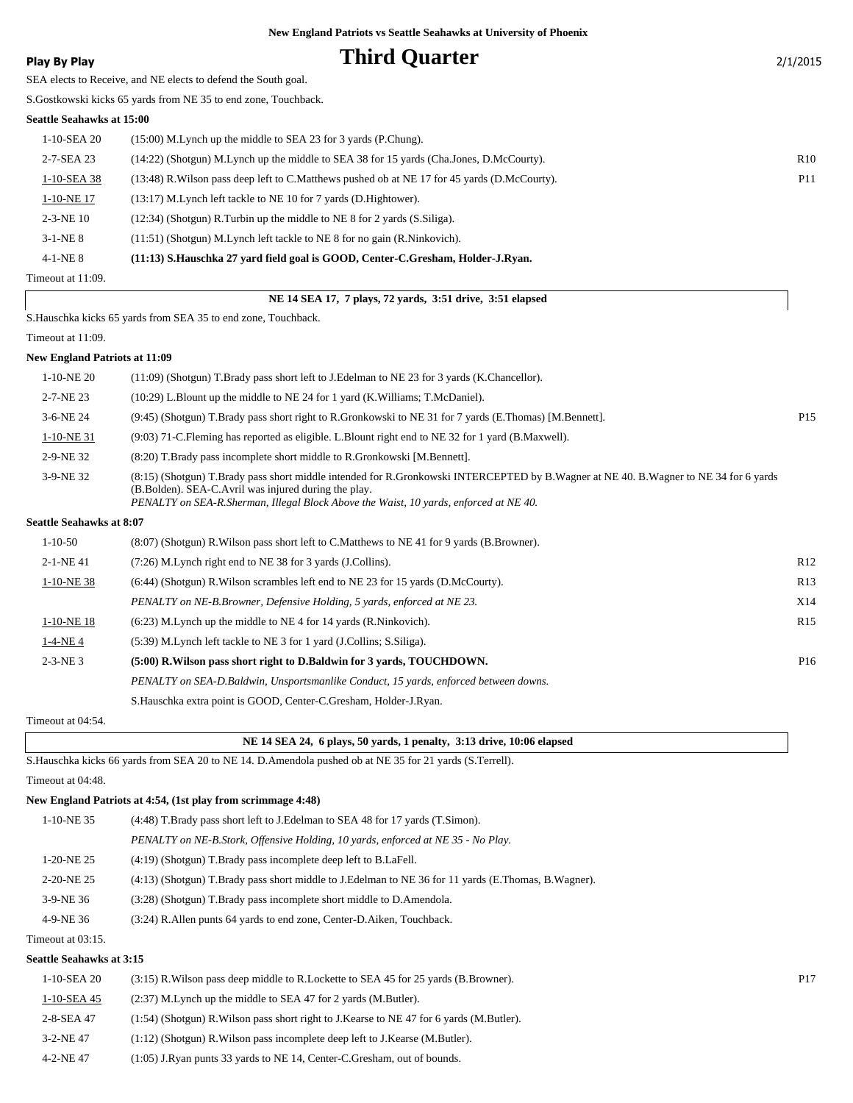**Play By Play Play Play Play Play By Play Play By Play Play By Play Play Play Play Play Play Play Play Play Play Play Play Play Play Play Play Play Play Play Play Play**

SEA elects to Receive, and NE elects to defend the South goal.

S.Gostkowski kicks 65 yards from NE 35 to end zone, Touchback.

### **Seattle Seahawks at 15:00**

| Timeout at 11:09. |                                                                                                |                 |
|-------------------|------------------------------------------------------------------------------------------------|-----------------|
| $4-1-NE_8$        | (11:13) S.Hauschka 27 yard field goal is GOOD, Center-C.Gresham, Holder-J.Ryan.                |                 |
| $3-1-NE$ 8        | $(11:51)$ (Shotgun) M. Lynch left tackle to NE 8 for no gain (R. Ninkovich).                   |                 |
| $2-3-NE$ 10       | $(12:34)$ (Shotgun) R.Turbin up the middle to NE 8 for 2 yards (S.Siliga).                     |                 |
| 1-10-NE 17        | (13:17) M. Lynch left tackle to NE 10 for 7 yards (D. Hightower).                              |                 |
| 1-10-SEA 38       | (13:48) R. Wilson pass deep left to C. Matthews pushed ob at NE 17 for 45 yards (D. McCourty). | P <sub>11</sub> |
| 2-7-SEA 23        | (14:22) (Shotgun) M.Lynch up the middle to SEA 38 for 15 yards (Cha.Jones, D.McCourty).        | R <sub>10</sub> |
| 1-10-SEA 20       | $(15:00)$ M. Lynch up the middle to SEA 23 for 3 yards (P. Chung).                             |                 |
|                   |                                                                                                |                 |

### **NE 14 SEA 17, 7 plays, 72 yards, 3:51 drive, 3:51 elapsed**

S.Hauschka kicks 65 yards from SEA 35 to end zone, Touchback.

Timeout at 11:09.

#### **New England Patriots at 11:09**

|               | $1-10-NE20$                     | (11:09) (Shotgun) T.Brady pass short left to J.Edelman to NE 23 for 3 yards (K.Chancellor).                                                                                                                                                                                           |                 |
|---------------|---------------------------------|---------------------------------------------------------------------------------------------------------------------------------------------------------------------------------------------------------------------------------------------------------------------------------------|-----------------|
|               | 2-7-NE 23                       | $(10:29)$ L. Blount up the middle to NE 24 for 1 yard (K. Williams; T. McDaniel).                                                                                                                                                                                                     |                 |
|               | 3-6-NE 24                       | (9:45) (Shotgun) T.Brady pass short right to R.Gronkowski to NE 31 for 7 yards (E.Thomas) [M.Bennett].                                                                                                                                                                                | P <sub>15</sub> |
|               | $1-10-NE$ 31                    | (9:03) 71-C. Fleming has reported as eligible. L. Blount right end to NE 32 for 1 yard (B. Maxwell).                                                                                                                                                                                  |                 |
|               | 2-9-NE 32                       | (8:20) T.Brady pass incomplete short middle to R.Gronkowski [M.Bennett].                                                                                                                                                                                                              |                 |
|               | 3-9-NE 32                       | (8:15) (Shotgun) T.Brady pass short middle intended for R.Gronkowski INTERCEPTED by B.Wagner at NE 40. B.Wagner to NE 34 for 6 yards<br>(B.Bolden). SEA-C.Avril was injured during the play.<br>PENALTY on SEA-R.Sherman, Illegal Block Above the Waist, 10 yards, enforced at NE 40. |                 |
|               | <b>Seattle Seahawks at 8:07</b> |                                                                                                                                                                                                                                                                                       |                 |
| $1 - 10 - 50$ |                                 | (8.07) (Shotgun) R. Wilson pass short left to C. Matthews to NE 41 for 9 yards (B. Browner).                                                                                                                                                                                          |                 |
|               | $2-1-NE$ 41                     | (7:26) M.Lynch right end to NE 38 for 3 yards (J.Collins).                                                                                                                                                                                                                            | R12             |
|               | 1-10-NE 38                      | (6:44) (Shotgun) R. Wilson scrambles left end to NE 23 for 15 yards (D. McCourty).                                                                                                                                                                                                    | R13             |
|               |                                 | PENALTY on NE-B.Browner, Defensive Holding, 5 yards, enforced at NE 23.                                                                                                                                                                                                               | X14             |
|               | $1-10-NE$ 18                    | $(6:23)$ M. Lynch up the middle to NE 4 for 14 yards (R. Ninkovich).                                                                                                                                                                                                                  | R15             |
|               | $1-4-NE4$                       | (5:39) M. Lynch left tackle to NE 3 for 1 yard (J. Collins; S. Siliga).                                                                                                                                                                                                               |                 |
|               | $2-3-NE3$                       | (5:00) R. Wilson pass short right to D. Baldwin for 3 yards, TOUCHDOWN.                                                                                                                                                                                                               | P <sub>16</sub> |
|               |                                 | PENALTY on SEA-D.Baldwin, Unsportsmanlike Conduct, 15 yards, enforced between downs.                                                                                                                                                                                                  |                 |
|               |                                 | S. Hauschka extra point is GOOD, Center-C. Gresham, Holder-J. Ryan.                                                                                                                                                                                                                   |                 |

Timeout at 04:54.

| NE 14 SEA 24, 6 plays, 50 yards, 1 penalty, 3:13 drive, 10:06 elapsed |  |  |  |
|-----------------------------------------------------------------------|--|--|--|
|                                                                       |  |  |  |

S.Hauschka kicks 66 yards from SEA 20 to NE 14. D.Amendola pushed ob at NE 35 for 21 yards (S.Terrell). Timeout at 04:48.

#### **New England Patriots at 4:54, (1st play from scrimmage 4:48)**

| 1-10-NE 35   | (4.48) T.Brady pass short left to J.Edelman to SEA 48 for 17 yards (T.Simon).                       |
|--------------|-----------------------------------------------------------------------------------------------------|
|              | PENALTY on NE-B.Stork, Offensive Holding, 10 yards, enforced at NE 35 - No Play.                    |
| 1-20-NE 25   | (4:19) (Shotgun) T.Brady pass incomplete deep left to B.LaFell.                                     |
| $2-20-NE$ 25 | (4:13) (Shotgun) T.Brady pass short middle to J.Edelman to NE 36 for 11 yards (E.Thomas, B.Wagner). |
| $3-9-NE$ 36  | (3:28) (Shotgun) T.Brady pass incomplete short middle to D.Amendola.                                |
| 4-9-NE 36    | (3:24) R. Allen punts 64 yards to end zone, Center-D. Aiken, Touchback.                             |
|              |                                                                                                     |

Timeout at 03:15.

#### **Seattle Seahawks at 3:15**

| 1-10-SEA 20     | (3.15) R. Wilson pass deep middle to R. Lockette to SEA 45 for 25 yards (B. Browner).        | P <sub>17</sub> |
|-----------------|----------------------------------------------------------------------------------------------|-----------------|
| 1-10-SEA 45     | $(2:37)$ M. Lynch up the middle to SEA 47 for 2 yards (M. Butler).                           |                 |
| 2-8-SEA 47      | $(1:54)$ (Shotgun) R. Wilson pass short right to J. Kearse to NE 47 for 6 yards (M. Butler). |                 |
| $3 - 2 - NE$ 47 | $(1:12)$ (Shotgun) R. Wilson pass incomplete deep left to J. Kearse (M. Butler).             |                 |
| $4 - 2 - NE$ 47 | (1:05) J.Ryan punts 33 yards to NE 14, Center-C.Gresham, out of bounds.                      |                 |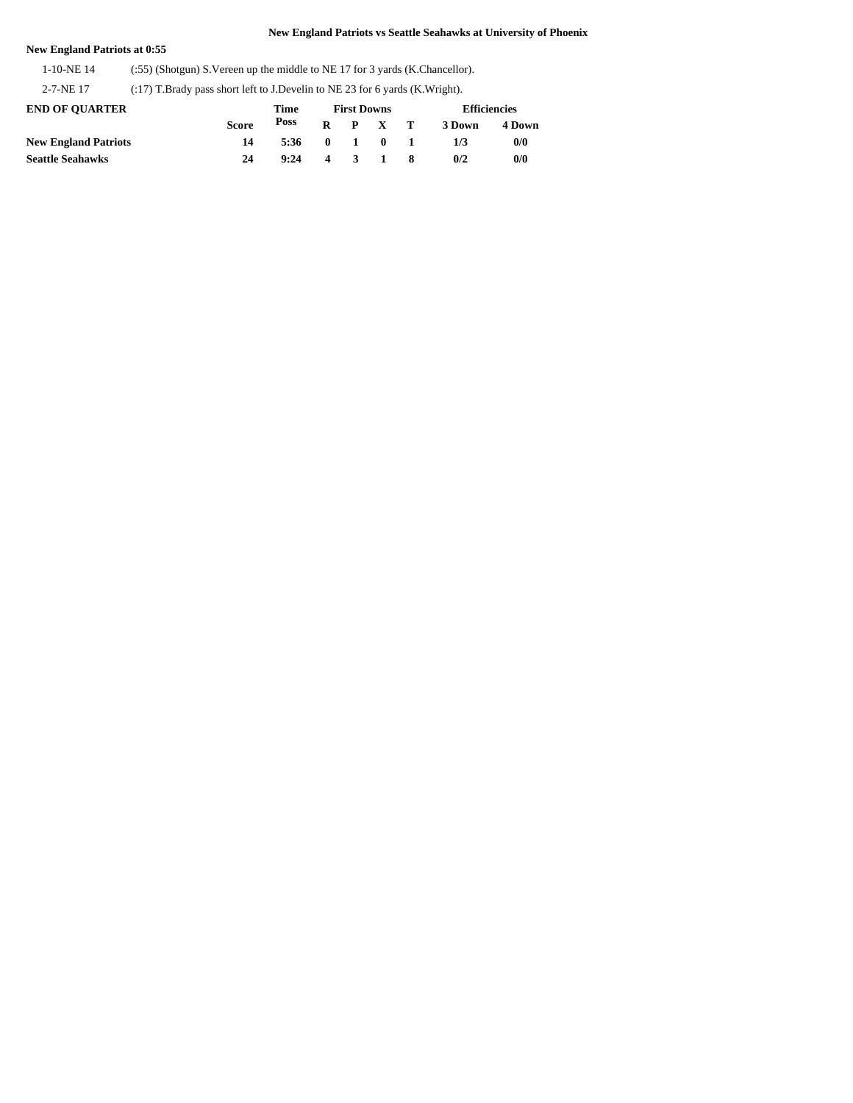## **New England Patriots at 0:55**

1-10-NE 14 (:55) (Shotgun) S.Vereen up the middle to NE 17 for 3 yards (K.Chancellor).

2-7-NE 17 (:17) T.Brady pass short left to J.Develin to NE 23 for 6 yards (K.Wright).

| <b>END OF OUARTER</b>       |              | Time | <b>First Downs</b> |              |              |  | <b>Efficiencies</b> |        |  |
|-----------------------------|--------------|------|--------------------|--------------|--------------|--|---------------------|--------|--|
|                             | <b>Score</b> | Poss | R                  |              | P X T        |  | 3 Down              | 4 Down |  |
| <b>New England Patriots</b> | 14           | 5:36 | $\mathbf{0}$       | $\mathbf{1}$ | $\mathbf{0}$ |  | 173                 | 0/0    |  |
| <b>Seattle Seahawks</b>     | 24           | 9:24 | 4                  | $\mathbf{3}$ | $\mathbf{1}$ |  | 0/2                 | 0/0    |  |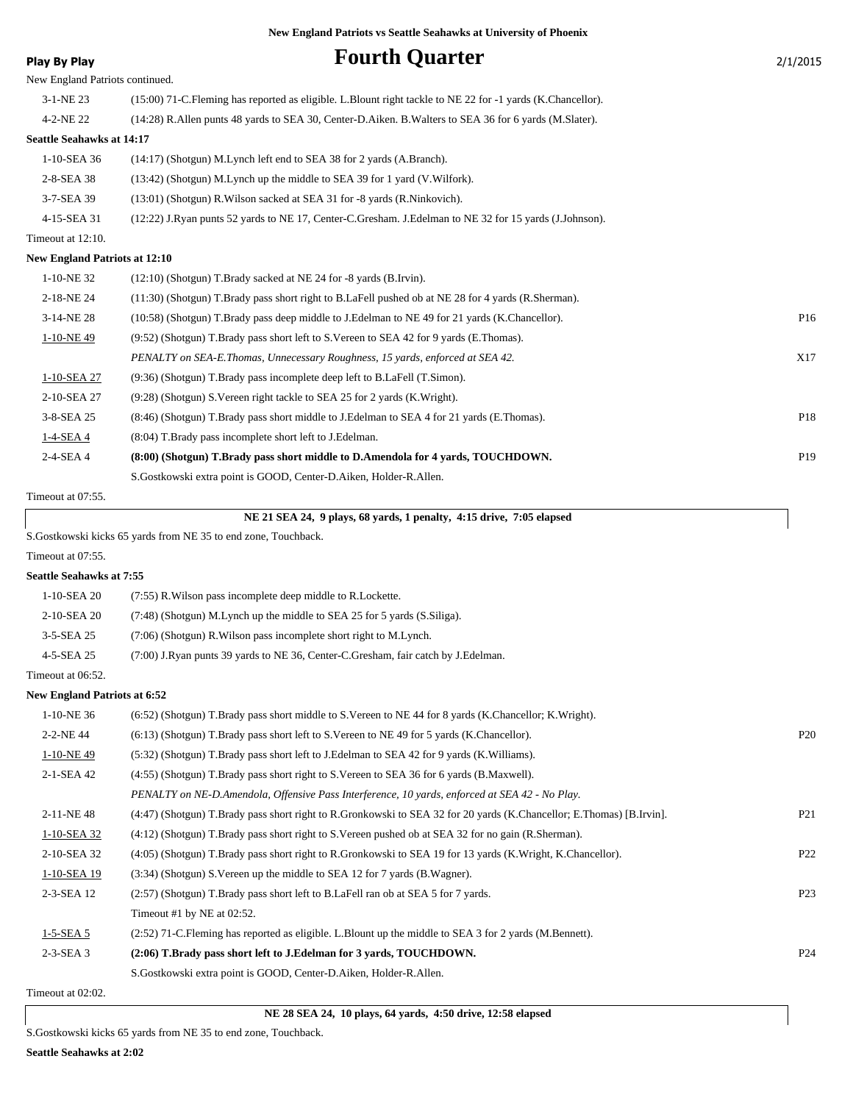# **Play By Play Play Play Fourth Quarter**

| Ί. | /201 |  |
|----|------|--|
|    |      |  |

| . .uy pyuy                           |                                                                                                                      |                 |
|--------------------------------------|----------------------------------------------------------------------------------------------------------------------|-----------------|
| New England Patriots continued.      |                                                                                                                      |                 |
| 3-1-NE 23                            | (15:00) 71-C.Fleming has reported as eligible. L.Blount right tackle to NE 22 for -1 yards (K.Chancellor).           |                 |
| 4-2-NE 22                            | (14:28) R. Allen punts 48 yards to SEA 30, Center-D. Aiken. B. Walters to SEA 36 for 6 yards (M. Slater).            |                 |
| <b>Seattle Seahawks at 14:17</b>     |                                                                                                                      |                 |
| 1-10-SEA 36                          | (14:17) (Shotgun) M.Lynch left end to SEA 38 for 2 yards (A.Branch).                                                 |                 |
| 2-8-SEA 38                           | (13:42) (Shotgun) M.Lynch up the middle to SEA 39 for 1 yard (V.Wilfork).                                            |                 |
| 3-7-SEA 39                           | (13:01) (Shotgun) R. Wilson sacked at SEA 31 for -8 yards (R. Ninkovich).                                            |                 |
| 4-15-SEA 31                          | (12:22) J.Ryan punts 52 yards to NE 17, Center-C.Gresham. J.Edelman to NE 32 for 15 yards (J.Johnson).               |                 |
| Timeout at 12:10.                    |                                                                                                                      |                 |
| <b>New England Patriots at 12:10</b> |                                                                                                                      |                 |
| 1-10-NE 32                           | $(12:10)$ (Shotgun) T.Brady sacked at NE 24 for -8 yards (B.Irvin).                                                  |                 |
| 2-18-NE 24                           | (11:30) (Shotgun) T.Brady pass short right to B.LaFell pushed ob at NE 28 for 4 yards (R.Sherman).                   |                 |
| 3-14-NE 28                           | (10:58) (Shotgun) T.Brady pass deep middle to J.Edelman to NE 49 for 21 yards (K.Chancellor).                        | P16             |
| 1-10-NE49                            | (9:52) (Shotgun) T.Brady pass short left to S.Vereen to SEA 42 for 9 yards (E.Thomas).                               |                 |
|                                      | PENALTY on SEA-E.Thomas, Unnecessary Roughness, 15 yards, enforced at SEA 42.                                        | X17             |
| 1-10-SEA 27                          | (9:36) (Shotgun) T.Brady pass incomplete deep left to B.LaFell (T.Simon).                                            |                 |
| 2-10-SEA 27                          | (9:28) (Shotgun) S. Vereen right tackle to SEA 25 for 2 yards (K. Wright).                                           |                 |
| 3-8-SEA 25                           | (8:46) (Shotgun) T.Brady pass short middle to J.Edelman to SEA 4 for 21 yards (E.Thomas).                            | P18             |
| 1-4-SEA 4                            | (8:04) T.Brady pass incomplete short left to J.Edelman.                                                              |                 |
| 2-4-SEA 4                            | (8:00) (Shotgun) T.Brady pass short middle to D.Amendola for 4 yards, TOUCHDOWN.                                     | P19             |
|                                      | S.Gostkowski extra point is GOOD, Center-D.Aiken, Holder-R.Allen.                                                    |                 |
| Timeout at 07:55.                    |                                                                                                                      |                 |
|                                      | NE 21 SEA 24, 9 plays, 68 yards, 1 penalty, 4:15 drive, 7:05 elapsed                                                 |                 |
|                                      | S.Gostkowski kicks 65 yards from NE 35 to end zone, Touchback.                                                       |                 |
| Timeout at 07:55.                    |                                                                                                                      |                 |
| <b>Seattle Seahawks at 7:55</b>      |                                                                                                                      |                 |
| 1-10-SEA 20                          | (7:55) R. Wilson pass incomplete deep middle to R. Lockette.                                                         |                 |
| 2-10-SEA 20                          | (7:48) (Shotgun) M.Lynch up the middle to SEA 25 for 5 yards (S.Siliga).                                             |                 |
| 3-5-SEA 25                           | (7:06) (Shotgun) R. Wilson pass incomplete short right to M. Lynch.                                                  |                 |
| 4-5-SEA 25                           | (7:00) J.Ryan punts 39 yards to NE 36, Center-C.Gresham, fair catch by J.Edelman.                                    |                 |
| Timeout at 06:52.                    |                                                                                                                      |                 |
| <b>New England Patriots at 6:52</b>  |                                                                                                                      |                 |
| $1-10-NE$ 36                         | (6:52) (Shotgun) T.Brady pass short middle to S.Vereen to NE 44 for 8 yards (K.Chancellor; K.Wright).                |                 |
| 2-2-NE 44                            | (6:13) (Shotgun) T.Brady pass short left to S.Vereen to NE 49 for 5 yards (K.Chancellor).                            | P <sub>20</sub> |
| $1-10-NE$ 49                         | (5.32) (Shotgun) T.Brady pass short left to J.Edelman to SEA 42 for 9 yards (K.Williams).                            |                 |
| 2-1-SEA 42                           | (4.55) (Shotgun) T.Brady pass short right to S.Vereen to SEA 36 for 6 yards (B.Maxwell).                             |                 |
|                                      | PENALTY on NE-D.Amendola, Offensive Pass Interference, 10 yards, enforced at SEA 42 - No Play.                       |                 |
| 2-11-NE48                            | (4:47) (Shotgun) T.Brady pass short right to R.Gronkowski to SEA 32 for 20 yards (K.Chancellor; E.Thomas) [B.Irvin]. | P <sub>21</sub> |
| 1-10-SEA 32                          | (4:12) (Shotgun) T.Brady pass short right to S.Vereen pushed ob at SEA 32 for no gain (R.Sherman).                   |                 |
| 2-10-SEA 32                          | (4:05) (Shotgun) T.Brady pass short right to R.Gronkowski to SEA 19 for 13 yards (K.Wright, K.Chancellor).           | P <sub>22</sub> |
| 1-10-SEA 19                          | (3:34) (Shotgun) S. Vereen up the middle to SEA 12 for 7 yards (B. Wagner).                                          |                 |
| 2-3-SEA 12                           | (2.57) (Shotgun) T.Brady pass short left to B.LaFell ran ob at SEA 5 for 7 yards.                                    | P <sub>23</sub> |
|                                      | Timeout #1 by NE at 02:52.                                                                                           |                 |
| $1-5-SEA$ 5                          | (2:52) 71-C. Fleming has reported as eligible. L. Blount up the middle to SEA 3 for 2 yards (M. Bennett).            |                 |
| $2-3-SEA$ 3                          | (2:06) T.Brady pass short left to J.Edelman for 3 yards, TOUCHDOWN.                                                  | P <sub>24</sub> |
|                                      | S. Gostkowski extra point is GOOD, Center-D. Aiken, Holder-R. Allen.                                                 |                 |
| Timeout at 02:02.                    |                                                                                                                      |                 |

 **NE 28 SEA 24, 10 plays, 64 yards, 4:50 drive, 12:58 elapsed**

S.Gostkowski kicks 65 yards from NE 35 to end zone, Touchback.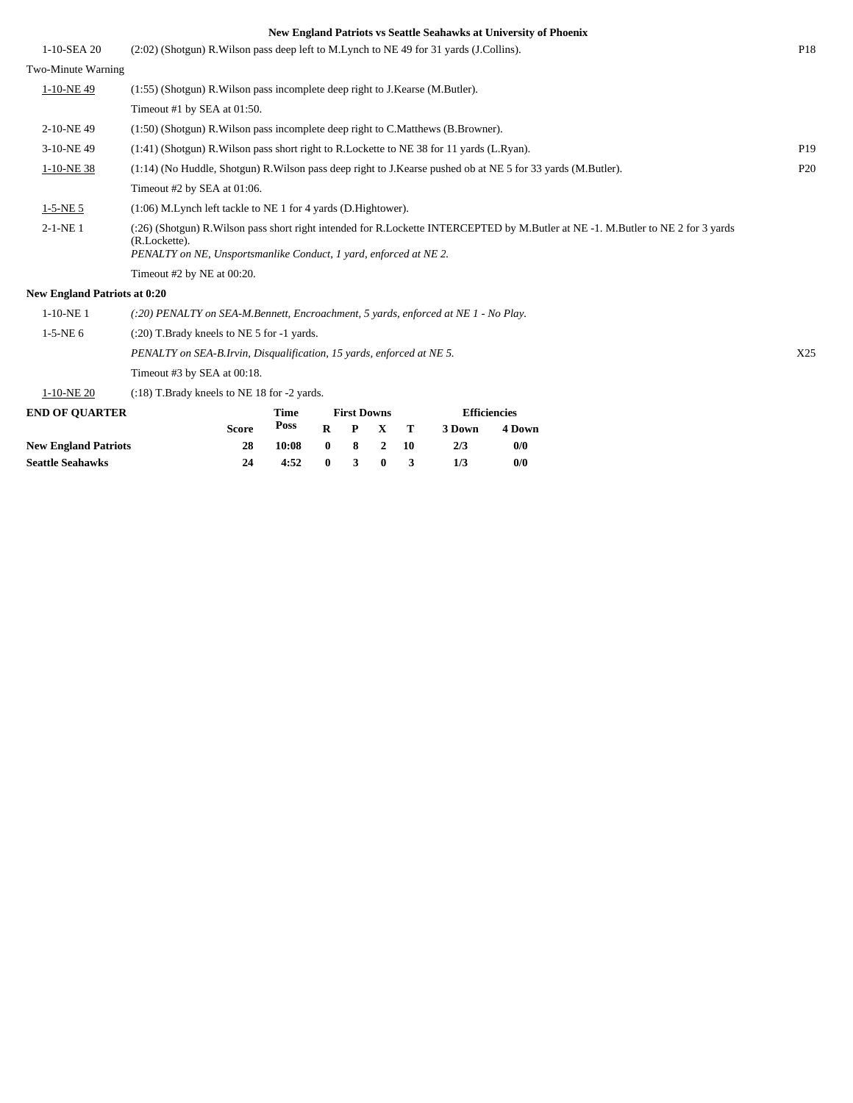|                                     |                                                                                                                                                   |                    | New England Patriots vs Seattle Seahawks at University of Phoenix |                 |
|-------------------------------------|---------------------------------------------------------------------------------------------------------------------------------------------------|--------------------|-------------------------------------------------------------------|-----------------|
| 1-10-SEA 20                         | $(2:02)$ (Shotgun) R. Wilson pass deep left to M. Lynch to NE 49 for 31 yards (J. Collins).                                                       |                    |                                                                   | P <sub>18</sub> |
| Two-Minute Warning                  |                                                                                                                                                   |                    |                                                                   |                 |
| 1-10-NE49                           | (1:55) (Shotgun) R. Wilson pass incomplete deep right to J. Kearse (M. Butler).                                                                   |                    |                                                                   |                 |
|                                     | Timeout #1 by SEA at 01:50.                                                                                                                       |                    |                                                                   |                 |
| 2-10-NE49                           | (1:50) (Shotgun) R. Wilson pass incomplete deep right to C. Matthews (B. Browner).                                                                |                    |                                                                   |                 |
| 3-10-NE49                           | $(1:41)$ (Shotgun) R. Wilson pass short right to R. Lockette to NE 38 for 11 yards (L. Ryan).                                                     |                    |                                                                   | P <sub>19</sub> |
| 1-10-NE 38                          | (1:14) (No Huddle, Shotgun) R. Wilson pass deep right to J. Kearse pushed ob at NE 5 for 33 yards (M. Butler).                                    |                    |                                                                   | P <sub>20</sub> |
|                                     | Timeout #2 by SEA at 01:06.                                                                                                                       |                    |                                                                   |                 |
| $1-5-NE$ 5                          | $(1:06)$ M. Lynch left tackle to NE 1 for 4 yards (D. Hightower).                                                                                 |                    |                                                                   |                 |
| $2-1-NE$ 1                          | (:26) (Shotgun) R.Wilson pass short right intended for R.Lockette INTERCEPTED by M.Butler at NE -1. M.Butler to NE 2 for 3 yards<br>(R.Lockette). |                    |                                                                   |                 |
|                                     | PENALTY on NE, Unsportsmanlike Conduct, 1 yard, enforced at NE 2.                                                                                 |                    |                                                                   |                 |
|                                     | Timeout #2 by NE at 00:20.                                                                                                                        |                    |                                                                   |                 |
| <b>New England Patriots at 0:20</b> |                                                                                                                                                   |                    |                                                                   |                 |
| $1-10-NE$ 1                         | $(.20)$ PENALTY on SEA-M.Bennett, Encroachment, 5 yards, enforced at NE 1 - No Play.                                                              |                    |                                                                   |                 |
| $1-5-NE$ 6                          | $(20)$ T.Brady kneels to NE 5 for -1 yards.                                                                                                       |                    |                                                                   |                 |
|                                     | PENALTY on SEA-B.Irvin, Disqualification, 15 yards, enforced at NE 5.                                                                             |                    |                                                                   | X <sub>25</sub> |
|                                     | Timeout $#3$ by SEA at 00:18.                                                                                                                     |                    |                                                                   |                 |
| 1-10-NE 20                          | $(18)$ T.Brady kneels to NE 18 for $-2$ yards.                                                                                                    |                    |                                                                   |                 |
| <b>END OF OUARTER</b>               | Time                                                                                                                                              | <b>First Downs</b> | <b>Efficiencies</b>                                               |                 |

**3 Down 4 Down**

**New England Patriots 28 10:08 0 8 2 10 2/3 0/0 Seattle Seahawks 24 4:52 0 3 0 3 1/3 0/0**

**Poss**

**R P X T**

**Score**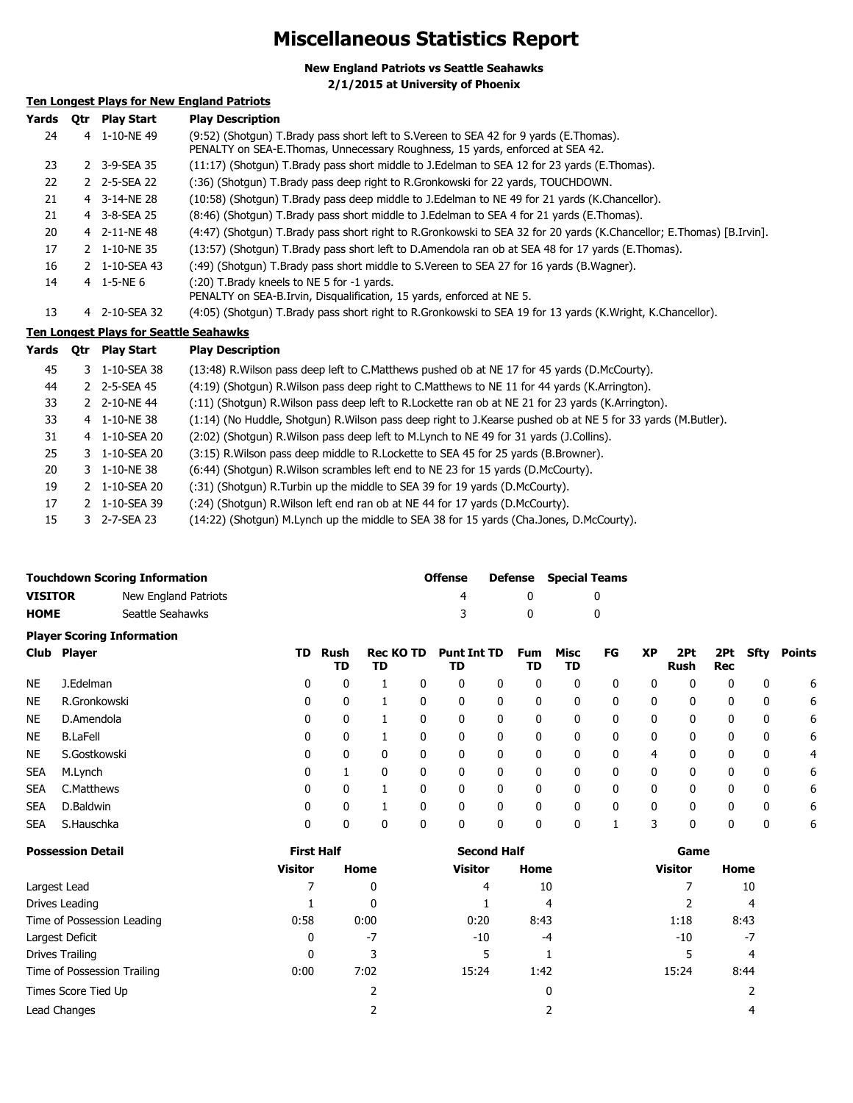# **Miscellaneous Statistics Report**

**New England Patriots vs Seattle Seahawks**

**2/1/2015 at University of Phoenix**

# **Ten Longest Plays for New England Patriots**

| Yards | <b>Otr</b> Play Start | <b>Play Description</b>                                                                                                                                                  |
|-------|-----------------------|--------------------------------------------------------------------------------------------------------------------------------------------------------------------------|
| 24    | 4 1-10-NE49           | (9:52) (Shotgun) T.Brady pass short left to S.Vereen to SEA 42 for 9 yards (E.Thomas).<br>PENALTY on SEA-E. Thomas, Unnecessary Roughness, 15 yards, enforced at SEA 42. |
| 23    | 2 3-9-SEA 35          | (11:17) (Shotgun) T.Brady pass short middle to J.Edelman to SEA 12 for 23 yards (E.Thomas).                                                                              |
| 22    | 2 2-5-SEA 22          | (:36) (Shotgun) T.Brady pass deep right to R.Gronkowski for 22 yards, TOUCHDOWN.                                                                                         |
| 21    | 4 3-14-NE 28          | (10:58) (Shotgun) T.Brady pass deep middle to J.Edelman to NE 49 for 21 yards (K.Chancellor).                                                                            |
| 21    | 4 3-8-SEA 25          | (8:46) (Shotgun) T.Brady pass short middle to J.Edelman to SEA 4 for 21 yards (E.Thomas).                                                                                |
| 20    | 4 2-11-NE48           | (4:47) (Shotgun) T.Brady pass short right to R.Gronkowski to SEA 32 for 20 yards (K.Chancellor; E.Thomas) [B.Irvin].                                                     |
| 17    | 2 1-10-NE 35          | (13:57) (Shotgun) T.Brady pass short left to D.Amendola ran ob at SEA 48 for 17 yards (E.Thomas).                                                                        |
| 16    | 2 1-10-SEA 43         | (:49) (Shotgun) T.Brady pass short middle to S.Vereen to SEA 27 for 16 yards (B.Wagner).                                                                                 |
| 14    | 4 1-5-NE 6            | (:20) T.Brady kneels to NE 5 for -1 yards.<br>PENALTY on SEA-B. Irvin, Disqualification, 15 yards, enforced at NE 5.                                                     |
| 13    | 4 2-10-SEA 32         | (4:05) (Shotgun) T.Brady pass short right to R.Gronkowski to SEA 19 for 13 yards (K.Wright, K.Chancellor).                                                               |

## **Ten Longest Plays for Seattle Seahawks**

| Yards | 0tr | <b>Play Start</b> | <b>Play Description</b>                                                                                        |
|-------|-----|-------------------|----------------------------------------------------------------------------------------------------------------|
| 45    |     | 3 1-10-SEA 38     | (13:48) R. Wilson pass deep left to C. Matthews pushed ob at NE 17 for 45 yards (D. McCourty).                 |
| 44    |     | 2 2-5-SEA 45      | (4:19) (Shotgun) R. Wilson pass deep right to C. Matthews to NE 11 for 44 yards (K. Arrington).                |
| 33    |     | 2 2-10-NE44       | (:11) (Shotgun) R. Wilson pass deep left to R. Lockette ran ob at NE 21 for 23 yards (K. Arrington).           |
| 33    |     | 4 1-10-NE 38      | (1:14) (No Huddle, Shotgun) R. Wilson pass deep right to J. Kearse pushed ob at NE 5 for 33 yards (M. Butler). |
| 31    |     | 4 1-10-SEA 20     | (2:02) (Shotgun) R. Wilson pass deep left to M. Lynch to NE 49 for 31 yards (J. Collins).                      |
| 25    |     | 3 1-10-SEA 20     | (3:15) R. Wilson pass deep middle to R. Lockette to SEA 45 for 25 yards (B. Browner).                          |
| 20    |     | 3 1-10-NE 38      | (6:44) (Shotgun) R. Wilson scrambles left end to NE 23 for 15 yards (D. McCourty).                             |
| 19    |     | 2 1-10-SEA 20     | (:31) (Shotgun) R. Turbin up the middle to SEA 39 for 19 yards (D. McCourty).                                  |
| 17    |     | 2 1-10-SEA 39     | (:24) (Shotqun) R. Wilson left end ran ob at NE 44 for 17 yards (D. McCourty).                                 |
| 15    |     | 3 2-7-SEA 23      | (14:22) (Shotgun) M.Lynch up the middle to SEA 38 for 15 yards (Cha.Jones, D.McCourty).                        |

| <b>Touchdown Scoring Information</b> |                      | <b>Offense</b> |     | <b>Defense</b> Special Teams |
|--------------------------------------|----------------------|----------------|-----|------------------------------|
| <b>VISITOR</b>                       | New England Patriots |                |     |                              |
| <b>HOME</b>                          | Seattle Seahawks     |                | - 0 |                              |

|            | <b>Player Scoring Information</b> |     |            |                        |   |                          |   |                  |            |    |           |             |                   |              |        |
|------------|-----------------------------------|-----|------------|------------------------|---|--------------------------|---|------------------|------------|----|-----------|-------------|-------------------|--------------|--------|
|            | Club Player                       | TD. | Rush<br>TD | <b>Rec KO TD</b><br>TD |   | <b>Punt Int TD</b><br>TD |   | <b>Fum</b><br>TD | Misc<br>TD | FG | <b>XP</b> | 2Pt<br>Rush | 2Pt<br><b>Rec</b> | <b>Sfty</b>  | Points |
| <b>NE</b>  | J.Edelman                         | 0   | 0          |                        | 0 | 0                        | 0 | 0                | 0          | 0  | 0         | 0           | 0                 | 0            | 6      |
| <b>NE</b>  | R.Gronkowski                      | 0   | 0          |                        |   | 0                        | 0 | 0                | 0          | 0  | 0         | 0           | 0                 | 0            | 6      |
| <b>NE</b>  | D.Amendola                        | 0   | 0          |                        |   | 0                        | 0 | 0                | 0          | 0  | 0         | 0           |                   | 0            | 6      |
| <b>NE</b>  | <b>B.LaFell</b>                   | 0   | 0          |                        |   | 0                        | 0 | 0                | 0          | 0  | 0         | 0           | 0                 | 0            | 6      |
| <b>NE</b>  | S.Gostkowski                      | 0   | 0          |                        | 0 | 0                        | 0 | 0                | 0          | 0  | 4         | 0           | 0                 | 0            | 4      |
| <b>SEA</b> | M.Lynch                           | 0   |            |                        | 0 | 0                        | 0 | 0                | 0          | 0  | 0         | 0           | 0                 | 0            | 6      |
| <b>SEA</b> | C.Matthews                        | 0   | 0          |                        |   | 0                        | 0 | 0                | 0          | 0  | 0         | 0           | 0                 | 0            | 6      |
| <b>SEA</b> | D.Baldwin                         | 0   | 0          |                        |   | 0                        | 0 | 0                | 0          | 0  | 0         | 0           | 0                 | $\mathbf{0}$ | 6      |
| <b>SEA</b> | S.Hauschka                        | 0   | 0          |                        | 0 | 0                        | 0 | 0                | 0          |    | 3         | 0           | 0                 | 0            | 6      |

| <b>Possession Detail</b>    | <b>First Half</b> |      | <b>Second Half</b> |          | Game           |      |  |
|-----------------------------|-------------------|------|--------------------|----------|----------------|------|--|
|                             | <b>Visitor</b>    | Home | <b>Visitor</b>     | Home     | <b>Visitor</b> | Home |  |
| Largest Lead                |                   | 0    | 4                  | 10       |                | 10   |  |
| Drives Leading              |                   | 0    |                    | 4        |                | 4    |  |
| Time of Possession Leading  | 0:58              | 0:00 | 0:20               | 8:43     | 1:18           | 8:43 |  |
| Largest Deficit             | 0                 | $-7$ | -10                | $-4$     | $-10$          | $-7$ |  |
| Drives Trailing             | 0                 |      | 5                  |          |                | 4    |  |
| Time of Possession Trailing | 0:00              | 7:02 | 15:24              | 1:42     | 15:24          | 8:44 |  |
| Times Score Tied Up         |                   |      |                    | $\Omega$ |                |      |  |
| Lead Changes                |                   |      |                    |          |                | 4    |  |